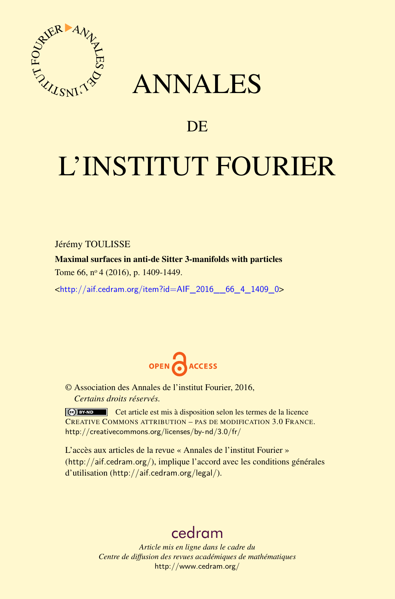

## ANNALES

### **DE**

# L'INSTITUT FOURIER

Jérémy TOULISSE

Maximal surfaces in anti-de Sitter 3-manifolds with particles Tome 66, nº 4 (2016), p. 1409-1449.

<[http://aif.cedram.org/item?id=AIF\\_2016\\_\\_66\\_4\\_1409\\_0](http://aif.cedram.org/item?id=AIF_2016__66_4_1409_0)>



© Association des Annales de l'institut Fourier, 2016, *Certains droits réservés.*

Cet article est mis à disposition selon les termes de la licence CREATIVE COMMONS ATTRIBUTION – PAS DE MODIFICATION 3.0 FRANCE. <http://creativecommons.org/licenses/by-nd/3.0/fr/>

L'accès aux articles de la revue « Annales de l'institut Fourier » (<http://aif.cedram.org/>), implique l'accord avec les conditions générales d'utilisation (<http://aif.cedram.org/legal/>).

## [cedram](http://www.cedram.org/)

*Article mis en ligne dans le cadre du Centre de diffusion des revues académiques de mathématiques* <http://www.cedram.org/>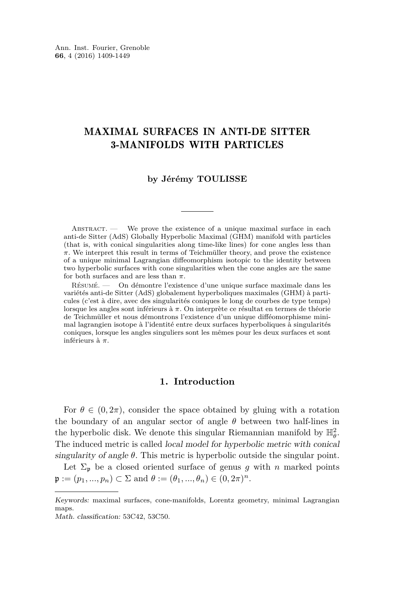#### MAXIMAL SURFACES IN ANTI-DE SITTER 3-MANIFOLDS WITH PARTICLES

#### **by Jérémy TOULISSE**

ABSTRACT. — We prove the existence of a unique maximal surface in each anti-de Sitter (AdS) Globally Hyperbolic Maximal (GHM) manifold with particles (that is, with conical singularities along time-like lines) for cone angles less than *π*. We interpret this result in terms of Teichmüller theory, and prove the existence of a unique minimal Lagrangian diffeomorphism isotopic to the identity between two hyperbolic surfaces with cone singularities when the cone angles are the same for both surfaces and are less than *π*.

Résumé. — On démontre l'existence d'une unique surface maximale dans les variétés anti-de Sitter (AdS) globalement hyperboliques maximales (GHM) à particules (c'est à dire, avec des singularités coniques le long de courbes de type temps) lorsque les angles sont inférieurs à *π*. On interprète ce résultat en termes de théorie de Teichmüller et nous démontrons l'existence d'un unique difféomorphisme minimal lagrangien isotope à l'identité entre deux surfaces hyperboliques à singularités coniques, lorsque les angles singuliers sont les mêmes pour les deux surfaces et sont inférieurs à *π*.

#### **1. Introduction**

For  $\theta \in (0, 2\pi)$ , consider the space obtained by gluing with a rotation the boundary of an angular sector of angle *θ* between two half-lines in the hyperbolic disk. We denote this singular Riemannian manifold by  $\mathbb{H}^2_{\theta}$ . The induced metric is called local model for hyperbolic metric with conical singularity of angle  $\theta$ . This metric is hyperbolic outside the singular point.

Let  $\Sigma_p$  be a closed oriented surface of genus *g* with *n* marked points  $\mathfrak{p} := (p_1, ..., p_n) \subset \Sigma \text{ and } \theta := (\theta_1, ..., \theta_n) \in (0, 2\pi)^n.$ 

Keywords: maximal surfaces, cone-manifolds, Lorentz geometry, minimal Lagrangian maps.

Math. classification: 53C42, 53C50.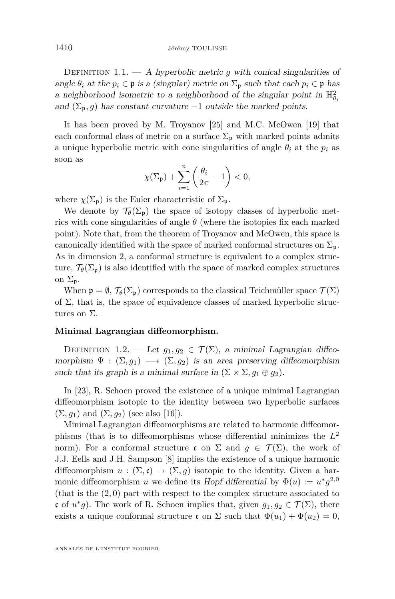DEFINITION 1.1.  $-$  A hyperbolic metric q with conical singularities of angle  $\theta_i$  at the  $p_i \in \mathfrak{p}$  is a (singular) metric on  $\Sigma_{\mathfrak{p}}$  such that each  $p_i \in \mathfrak{p}$  has a neighborhood isometric to a neighborhood of the singular point in  $\mathbb{H}^2_{\theta_i}$ and  $(\Sigma_{\mathfrak{p}}, g)$  has constant curvature  $-1$  outside the marked points.

It has been proved by M. Troyanov [\[25\]](#page-41-0) and M.C. McOwen [\[19\]](#page-40-0) that each conformal class of metric on a surface  $\Sigma_{\mathfrak{p}}$  with marked points admits a unique hyperbolic metric with cone singularities of angle  $\theta_i$  at the  $p_i$  as soon as

$$
\chi(\Sigma_{\mathfrak{p}})+\sum_{i=1}^n\left(\frac{\theta_i}{2\pi}-1\right)<0,
$$

where  $\chi(\Sigma_{\mathfrak{p}})$  is the Euler characteristic of  $\Sigma_{\mathfrak{p}}$ .

We denote by  $\mathcal{T}_{\theta}(\Sigma_{\mathfrak{p}})$  the space of isotopy classes of hyperbolic metrics with cone singularities of angle  $\theta$  (where the isotopies fix each marked point). Note that, from the theorem of Troyanov and McOwen, this space is canonically identified with the space of marked conformal structures on  $\Sigma_{\mathfrak{p}}$ . As in dimension 2, a conformal structure is equivalent to a complex structure,  $\mathcal{T}_{\theta}(\Sigma_{\mathfrak{p}})$  is also identified with the space of marked complex structures on  $\Sigma_n$ .

When  $\mathfrak{p} = \emptyset$ ,  $\mathcal{T}_{\theta}(\Sigma_{\mathfrak{p}})$  corresponds to the classical Teichmüller space  $\mathcal{T}(\Sigma)$ of  $\Sigma$ , that is, the space of equivalence classes of marked hyperbolic structures on Σ.

#### **Minimal Lagrangian diffeomorphism.**

DEFINITION 1.2. — Let  $g_1, g_2 \in \mathcal{T}(\Sigma)$ , a minimal Lagrangian diffeomorphism  $\Psi : (\Sigma, g_1) \longrightarrow (\Sigma, g_2)$  is an area preserving diffeomorphism such that its graph is a minimal surface in  $(\Sigma \times \Sigma, g_1 \oplus g_2)$ .

In [\[23\]](#page-41-1), R. Schoen proved the existence of a unique minimal Lagrangian diffeomorphism isotopic to the identity between two hyperbolic surfaces  $(\Sigma, g_1)$  and  $(\Sigma, g_2)$  (see also [\[16\]](#page-40-1)).

Minimal Lagrangian diffeomorphisms are related to harmonic diffeomorphisms (that is to diffeomorphisms whose differential minimizes the *L* 2 norm). For a conformal structure c on  $\Sigma$  and  $g \in \mathcal{T}(\Sigma)$ , the work of J.J. Eells and J.H. Sampson [\[8\]](#page-40-2) implies the existence of a unique harmonic diffeomorphism  $u : (\Sigma, \mathfrak{c}) \to (\Sigma, g)$  isotopic to the identity. Given a harmonic diffeomorphism *u* we define its Hopf differential by  $\Phi(u) := u^* g^{2,0}$ (that is the (2*,* 0) part with respect to the complex structure associated to c of  $u^*g$ ). The work of R. Schoen implies that, given  $g_1, g_2 \in \mathcal{T}(\Sigma)$ , there exists a unique conformal structure c on  $\Sigma$  such that  $\Phi(u_1) + \Phi(u_2) = 0$ ,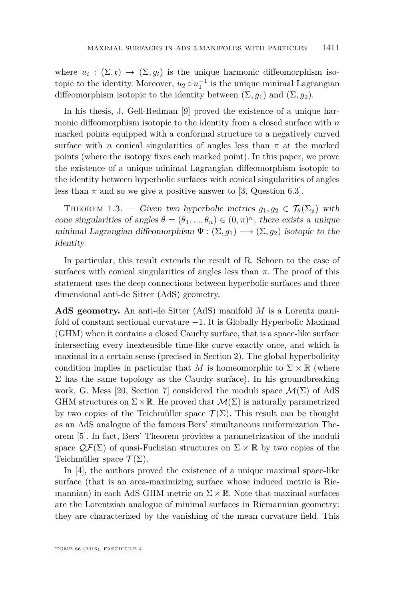where  $u_i : (\Sigma, \mathfrak{c}) \to (\Sigma, g_i)$  is the unique harmonic diffeomorphism isotopic to the identity. Moreover,  $u_2 \circ u_1^{-1}$  is the unique minimal Lagrangian diffeomorphism isotopic to the identity between  $(\Sigma, g_1)$  and  $(\Sigma, g_2)$ .

In his thesis, J. Gell-Redman [\[9\]](#page-40-3) proved the existence of a unique harmonic diffeomorphism isotopic to the identity from a closed surface with *n* marked points equipped with a conformal structure to a negatively curved surface with *n* conical singularities of angles less than  $\pi$  at the marked points (where the isotopy fixes each marked point). In this paper, we prove the existence of a unique minimal Lagrangian diffeomorphism isotopic to the identity between hyperbolic surfaces with conical singularities of angles less than  $\pi$  and so we give a positive answer to [\[3,](#page-40-4) Question 6.3].

<span id="page-3-0"></span>THEOREM 1.3. — Given two hyperbolic metrics  $g_1, g_2 \in \mathcal{T}_{\theta}(\Sigma_{\mathfrak{p}})$  with cone singularities of angles  $\theta = (\theta_1, ..., \theta_n) \in (0, \pi)^n$ , there exists a unique minimal Lagrangian diffeomorphism  $\Psi : (\Sigma, g_1) \longrightarrow (\Sigma, g_2)$  isotopic to the identity.

In particular, this result extends the result of R. Schoen to the case of surfaces with conical singularities of angles less than  $\pi$ . The proof of this statement uses the deep connections between hyperbolic surfaces and three dimensional anti-de Sitter (AdS) geometry.

**AdS geometry.** An anti-de Sitter (AdS) manifold *M* is a Lorentz manifold of constant sectional curvature −1. It is Globally Hyperbolic Maximal (GHM) when it contains a closed Cauchy surface, that is a space-like surface intersecting every inextensible time-like curve exactly once, and which is maximal in a certain sense (precised in Section [2\)](#page-5-0). The global hyperbolicity condition implies in particular that M is homeomorphic to  $\Sigma \times \mathbb{R}$  (where  $\Sigma$  has the same topology as the Cauchy surface). In his groundbreaking work, G. Mess [\[20,](#page-40-5) Section 7] considered the moduli space  $\mathcal{M}(\Sigma)$  of AdS GHM structures on  $\Sigma \times \mathbb{R}$ . He proved that  $\mathcal{M}(\Sigma)$  is naturally parametrized by two copies of the Teichmüller space  $\mathcal{T}(\Sigma)$ . This result can be thought as an AdS analogue of the famous Bers' simultaneous uniformization Theorem [\[5\]](#page-40-6). In fact, Bers' Theorem provides a parametrization of the moduli space  $\mathcal{QF}(\Sigma)$  of quasi-Fuchsian structures on  $\Sigma \times \mathbb{R}$  by two copies of the Teichmüller space  $\mathcal{T}(\Sigma)$ .

In [\[4\]](#page-40-7), the authors proved the existence of a unique maximal space-like surface (that is an area-maximizing surface whose induced metric is Riemannian) in each AdS GHM metric on  $\Sigma \times \mathbb{R}$ . Note that maximal surfaces are the Lorentzian analogue of minimal surfaces in Riemannian geometry: they are characterized by the vanishing of the mean curvature field. This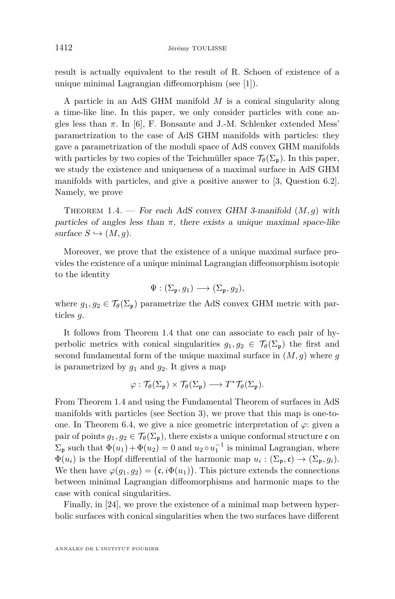result is actually equivalent to the result of R. Schoen of existence of a unique minimal Lagrangian diffeomorphism (see [\[1\]](#page-40-8)).

A particle in an AdS GHM manifold *M* is a conical singularity along a time-like line. In this paper, we only consider particles with cone angles less than  $\pi$ . In [\[6\]](#page-40-9), F. Bonsante and J.-M. Schlenker extended Mess<sup>'</sup> parametrization to the case of AdS GHM manifolds with particles: they gave a parametrization of the moduli space of AdS convex GHM manifolds with particles by two copies of the Teichmüller space  $\mathcal{T}_{\theta}(\Sigma_{\mathfrak{p}})$ . In this paper, we study the existence and uniqueness of a maximal surface in AdS GHM manifolds with particles, and give a positive answer to [\[3,](#page-40-4) Question 6.2]. Namely, we prove

<span id="page-4-0"></span>THEOREM 1.4. — For each AdS convex GHM 3-manifold  $(M, g)$  with particles of angles less than  $\pi$ , there exists a unique maximal space-like  $surface S \hookrightarrow (M, q)$ .

Moreover, we prove that the existence of a unique maximal surface provides the existence of a unique minimal Lagrangian diffeomorphism isotopic to the identity

$$
\Psi : (\Sigma_{\mathfrak{p}}, g_1) \longrightarrow (\Sigma_{\mathfrak{p}}, g_2),
$$

where  $g_1, g_2 \in \mathcal{T}_{\theta}(\Sigma_{\mathfrak{p}})$  parametrize the AdS convex GHM metric with particles *g*.

It follows from Theorem [1.4](#page-4-0) that one can associate to each pair of hyperbolic metrics with conical singularities  $g_1, g_2 \in \mathcal{T}_{\theta}(\Sigma_{\mathfrak{p}})$  the first and second fundamental form of the unique maximal surface in (*M, g*) where *g* is parametrized by  $q_1$  and  $q_2$ . It gives a map

$$
\varphi: \mathcal{T}_{\theta}(\Sigma_{\mathfrak{p}}) \times \mathcal{T}_{\theta}(\Sigma_{\mathfrak{p}}) \longrightarrow T^*\mathcal{T}_{\theta}(\Sigma_{\mathfrak{p}}).
$$

From Theorem [1.4](#page-4-0) and using the Fundamental Theorem of surfaces in AdS manifolds with particles (see Section [3\)](#page-9-0), we prove that this map is one-to-one. In Theorem [6.4,](#page-38-0) we give a nice geometric interpretation of  $\varphi$ : given a pair of points  $g_1, g_2 \in \mathcal{T}_{\theta}(\Sigma_{\mathfrak{p}})$ , there exists a unique conformal structure c on  $\Sigma_{\mathfrak{p}}$  such that  $\Phi(u_1) + \Phi(u_2) = 0$  and  $u_2 \circ u_1^{-1}$  is minimal Lagrangian, where  $\Phi(u_i)$  is the Hopf differential of the harmonic map  $u_i : (\Sigma_{\mathfrak{p}}, \mathfrak{c}) \to (\Sigma_{\mathfrak{p}}, g_i)$ . We then have  $\varphi(g_1, g_2) = (\mathfrak{c}, i\Phi(u_1))$ . This picture extends the connections between minimal Lagrangian diffeomorphisms and harmonic maps to the case with conical singularities.

Finally, in [\[24\]](#page-41-2), we prove the existence of a minimal map between hyperbolic surfaces with conical singularities when the two surfaces have different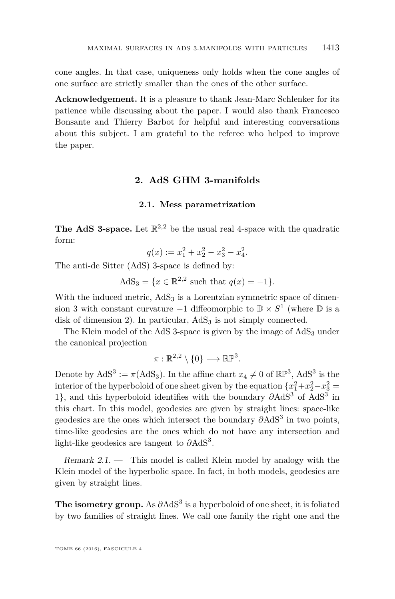cone angles. In that case, uniqueness only holds when the cone angles of one surface are strictly smaller than the ones of the other surface.

**Acknowledgement.** It is a pleasure to thank Jean-Marc Schlenker for its patience while discussing about the paper. I would also thank Francesco Bonsante and Thierry Barbot for helpful and interesting conversations about this subject. I am grateful to the referee who helped to improve the paper.

#### **2. AdS GHM 3-manifolds**

#### **2.1. Mess parametrization**

<span id="page-5-0"></span>**The AdS 3-space.** Let  $\mathbb{R}^{2,2}$  be the usual real 4-space with the quadratic form:

$$
q(x) := x_1^2 + x_2^2 - x_3^2 - x_4^2.
$$

The anti-de Sitter (AdS) 3-space is defined by:

AdS<sub>3</sub> = {
$$
x \in \mathbb{R}^{2,2}
$$
 such that  $q(x) = -1$  }.

With the induced metric,  $AdS_3$  is a Lorentzian symmetric space of dimension 3 with constant curvature  $-1$  diffeomorphic to  $\mathbb{D} \times S^1$  (where  $\mathbb D$  is a disk of dimension 2). In particular,  $AdS_3$  is not simply connected.

The Klein model of the AdS 3-space is given by the image of  $AdS<sub>3</sub>$  under the canonical projection

$$
\pi:\mathbb{R}^{2,2}\setminus\{0\}\longrightarrow\mathbb{R}\mathbb{P}^3.
$$

Denote by  $AdS^3 := \pi (AdS_3)$ . In the affine chart  $x_4 \neq 0$  of  $\mathbb{RP}^3$ ,  $AdS^3$  is the interior of the hyperboloid of one sheet given by the equation  ${x_1^2+x_2^2-x_3^2} =$ 1}, and this hyperboloid identifies with the boundary  $\partial \text{AdS}^3$  of  $\text{AdS}^3$  in this chart. In this model, geodesics are given by straight lines: space-like geodesics are the ones which intersect the boundary *∂*AdS<sup>3</sup> in two points, time-like geodesics are the ones which do not have any intersection and light-like geodesics are tangent to *∂*AdS<sup>3</sup> .

Remark 2.1. — This model is called Klein model by analogy with the Klein model of the hyperbolic space. In fact, in both models, geodesics are given by straight lines.

The isometry group. As  $\partial \text{AdS}^3$  is a hyperboloid of one sheet, it is foliated by two families of straight lines. We call one family the right one and the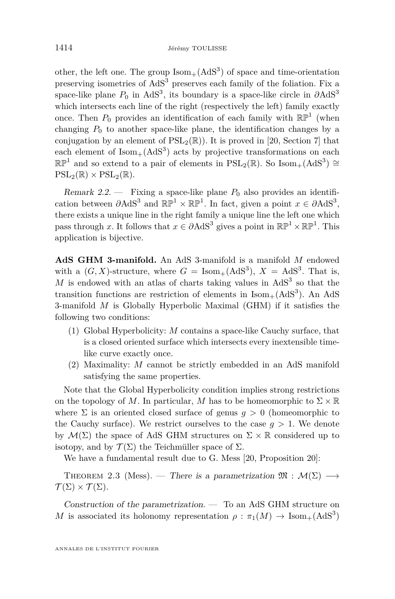other, the left one. The group  $\text{Isom}_+(\text{AdS}^3)$  of space and time-orientation preserving isometries of  $AdS<sup>3</sup>$  preserves each family of the foliation. Fix a space-like plane  $P_0$  in AdS<sup>3</sup>, its boundary is a space-like circle in  $\partial \text{AdS}^3$ which intersects each line of the right (respectively the left) family exactly once. Then  $P_0$  provides an identification of each family with  $\mathbb{RP}^1$  (when changing  $P_0$  to another space-like plane, the identification changes by a conjugation by an element of  $PSL_2(\mathbb{R})$ ). It is proved in [\[20,](#page-40-5) Section 7] that each element of  $\text{Isom}_+(\text{AdS}^3)$  acts by projective transformations on each  $\mathbb{RP}^1$  and so extend to a pair of elements in  $PSL_2(\mathbb{R})$ . So Isom<sub>+</sub>(AdS<sup>3</sup>) ≅  $PSL_2(\mathbb{R}) \times PSL_2(\mathbb{R})$ .

<span id="page-6-0"></span>Remark 2.2.  $\qquad$  Fixing a space-like plane  $P_0$  also provides an identification between  $\partial \text{AdS}^3$  and  $\mathbb{RP}^1 \times \mathbb{RP}^1$ . In fact, given a point  $x \in \partial \text{AdS}^3$ , there exists a unique line in the right family a unique line the left one which pass through *x*. It follows that  $x \in \partial \text{AdS}^3$  gives a point in  $\mathbb{RP}^1 \times \mathbb{RP}^1$ . This application is bijective.

**AdS GHM 3-manifold.** An AdS 3-manifold is a manifold *M* endowed with a  $(G, X)$ -structure, where  $G = \text{Isom}_+(\text{AdS}^3)$ ,  $X = \text{AdS}^3$ . That is,  $M$  is endowed with an atlas of charts taking values in  $AdS<sup>3</sup>$  so that the transition functions are restriction of elements in  $\text{Isom}_+(\text{AdS}^3)$ . An AdS 3-manifold *M* is Globally Hyperbolic Maximal (GHM) if it satisfies the following two conditions:

- (1) Global Hyperbolicity: *M* contains a space-like Cauchy surface, that is a closed oriented surface which intersects every inextensible timelike curve exactly once.
- (2) Maximality: *M* cannot be strictly embedded in an AdS manifold satisfying the same properties.

Note that the Global Hyperbolicity condition implies strong restrictions on the topology of *M*. In particular, *M* has to be homeomorphic to  $\Sigma \times \mathbb{R}$ where  $\Sigma$  is an oriented closed surface of genus  $q > 0$  (homeomorphic to the Cauchy surface). We restrict ourselves to the case  $g > 1$ . We denote by  $\mathcal{M}(\Sigma)$  the space of AdS GHM structures on  $\Sigma \times \mathbb{R}$  considered up to isotopy, and by  $\mathcal{T}(\Sigma)$  the Teichmüller space of  $\Sigma$ .

We have a fundamental result due to G. Mess [\[20,](#page-40-5) Proposition 20]:

THEOREM 2.3 (Mess). — There is a parametrization  $\mathfrak{M} : \mathcal{M}(\Sigma) \longrightarrow$  $\mathcal{T}(\Sigma) \times \mathcal{T}(\Sigma)$ .

Construction of the parametrization. — To an AdS GHM structure on *M* is associated its holonomy representation  $\rho : \pi_1(M) \to \text{Isom}_+(\text{AdS}^3)$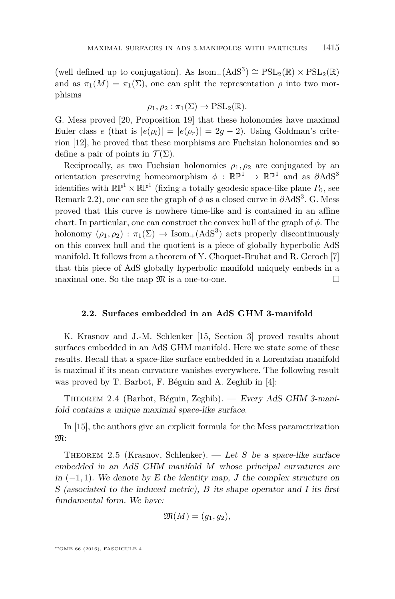(well defined up to conjugation). As  $\mathrm{Isom}_+(\mathrm{AdS}^3) \cong \mathrm{PSL}_2(\mathbb{R}) \times \mathrm{PSL}_2(\mathbb{R})$ and as  $\pi_1(M) = \pi_1(\Sigma)$ , one can split the representation  $\rho$  into two morphisms

$$
\rho_1, \rho_2 : \pi_1(\Sigma) \to \mathrm{PSL}_2(\mathbb{R}).
$$

G. Mess proved [\[20,](#page-40-5) Proposition 19] that these holonomies have maximal Euler class *e* (that is  $|e(\rho_l)| = |e(\rho_r)| = 2g - 2$ ). Using Goldman's criterion [\[12\]](#page-40-10), he proved that these morphisms are Fuchsian holonomies and so define a pair of points in  $\mathcal{T}(\Sigma)$ .

Reciprocally, as two Fuchsian holonomies  $\rho_1, \rho_2$  are conjugated by an orientation preserving homeomorphism  $\phi$  :  $\mathbb{RP}^1 \to \mathbb{RP}^1$  and as  $\partial \text{AdS}^3$ identifies with  $\mathbb{RP}^1 \times \mathbb{RP}^1$  (fixing a totally geodesic space-like plane  $P_0$ , see Remark [2.2\)](#page-6-0), one can see the graph of  $\phi$  as a closed curve in  $\partial \text{AdS}^3$ . G. Mess proved that this curve is nowhere time-like and is contained in an affine chart. In particular, one can construct the convex hull of the graph of *φ*. The holonomy  $(\rho_1, \rho_2) : \pi_1(\Sigma) \to \text{Isom}_+(\text{AdS}^3)$  acts properly discontinuously on this convex hull and the quotient is a piece of globally hyperbolic AdS manifold. It follows from a theorem of Y. Choquet-Bruhat and R. Geroch [\[7\]](#page-40-11) that this piece of AdS globally hyperbolic manifold uniquely embeds in a maximal one. So the map  $\mathfrak{M}$  is a one-to-one.

#### **2.2. Surfaces embedded in an AdS GHM 3-manifold**

K. Krasnov and J.-M. Schlenker [\[15,](#page-40-12) Section 3] proved results about surfaces embedded in an AdS GHM manifold. Here we state some of these results. Recall that a space-like surface embedded in a Lorentzian manifold is maximal if its mean curvature vanishes everywhere. The following result was proved by T. Barbot, F. Béguin and A. Zeghib in [\[4\]](#page-40-7):

Theorem 2.4 (Barbot, Béguin, Zeghib). — Every AdS GHM 3-manifold contains a unique maximal space-like surface.

In [\[15\]](#page-40-12), the authors give an explicit formula for the Mess parametrization M:

Theorem 2.5 (Krasnov, Schlenker). — Let *S* be a space-like surface embedded in an AdS GHM manifold *M* whose principal curvatures are in  $(-1, 1)$ . We denote by E the identity map, *J* the complex structure on S (associated to the induced metric), *B* its shape operator and I its first fundamental form. We have:

$$
\mathfrak{M}(M)=(g_1,g_2),
$$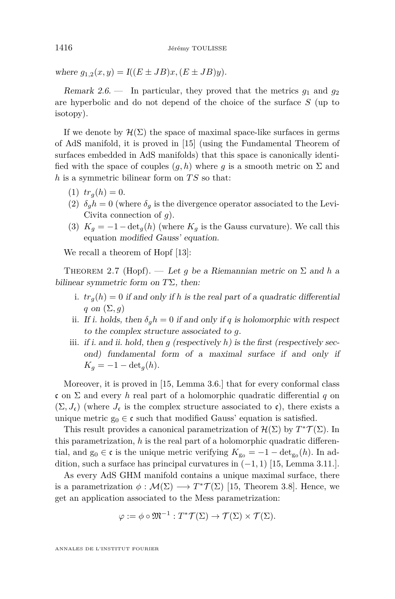where  $g_{1,2}(x, y) = I((E \pm JB)x, (E \pm JB)y).$ 

Remark 2.6. — In particular, they proved that the metrics  $g_1$  and  $g_2$ are hyperbolic and do not depend of the choice of the surface *S* (up to isotopy).

If we denote by  $\mathcal{H}(\Sigma)$  the space of maximal space-like surfaces in germs of AdS manifold, it is proved in [\[15\]](#page-40-12) (using the Fundamental Theorem of surfaces embedded in AdS manifolds) that this space is canonically identified with the space of couples  $(q, h)$  where q is a smooth metric on  $\Sigma$  and *h* is a symmetric bilinear form on *T S* so that:

- $(t)$   $tr_a(h) = 0.$
- (2)  $\delta_q h = 0$  (where  $\delta_q$  is the divergence operator associated to the Levi-Civita connection of *g*).
- (3)  $K_g = -1 \det_g(h)$  (where  $K_g$  is the Gauss curvature). We call this equation modified Gauss' equation.

We recall a theorem of Hopf [\[13\]](#page-40-13):

THEOREM 2.7 (Hopf). — Let q be a Riemannian metric on  $\Sigma$  and h a bilinear symmetric form on *T*Σ, then:

- i.  $tr_q(h) = 0$  if and only if h is the real part of a quadratic differential *q* on  $(\Sigma, q)$
- ii. If i. holds, then  $\delta_q h = 0$  if and only if *q* is holomorphic with respect to the complex structure associated to *g*.
- iii. if i. and ii. hold, then  $g$  (respectively  $h$ ) is the first (respectively second) fundamental form of a maximal surface if and only if  $K_q = -1 - \det_q(h)$ .

Moreover, it is proved in [\[15,](#page-40-12) Lemma 3.6.] that for every conformal class c on Σ and every *h* real part of a holomorphic quadratic differential *q* on  $(\Sigma, J_{c})$  (where  $J_{c}$  is the complex structure associated to c), there exists a unique metric  $g_0 \in \mathfrak{c}$  such that modified Gauss' equation is satisfied.

This result provides a canonical parametrization of  $\mathcal{H}(\Sigma)$  by  $T^*\mathcal{T}(\Sigma)$ . In this parametrization, *h* is the real part of a holomorphic quadratic differential, and  $g_0 \in \mathfrak{c}$  is the unique metric verifying  $K_{g_0} = -1 - \det_{g_0}(h)$ . In addition, such a surface has principal curvatures in (−1*,* 1) [\[15,](#page-40-12) Lemma 3.11.].

As every AdS GHM manifold contains a unique maximal surface, there is a parametrization  $\phi : \mathcal{M}(\Sigma) \longrightarrow T^*\mathcal{T}(\Sigma)$  [\[15,](#page-40-12) Theorem 3.8]. Hence, we get an application associated to the Mess parametrization:

$$
\varphi := \phi \circ \mathfrak{M}^{-1} : T^* \mathcal{T}(\Sigma) \to \mathcal{T}(\Sigma) \times \mathcal{T}(\Sigma).
$$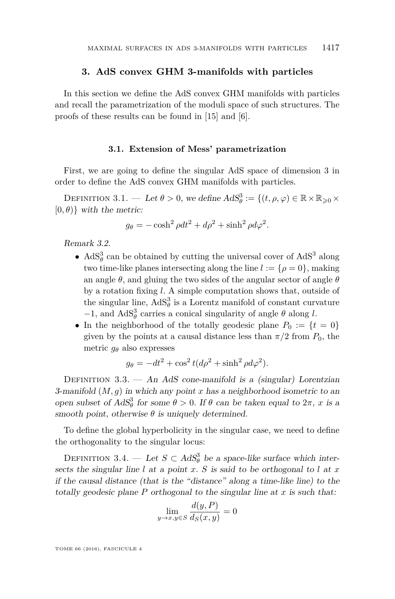#### **3. AdS convex GHM 3-manifolds with particles**

<span id="page-9-0"></span>In this section we define the AdS convex GHM manifolds with particles and recall the parametrization of the moduli space of such structures. The proofs of these results can be found in [\[15\]](#page-40-12) and [\[6\]](#page-40-9).

#### **3.1. Extension of Mess' parametrization**

<span id="page-9-1"></span>First, we are going to define the singular AdS space of dimension 3 in order to define the AdS convex GHM manifolds with particles.

DEFINITION 3.1. — Let  $\theta > 0$ , we define  $AdS^3_{\theta} := \{(t, \rho, \varphi) \in \mathbb{R} \times \mathbb{R}_{\geqslant 0} \times$  $[0, \theta)$ } with the metric:

$$
g_{\theta} = -\cosh^2 \rho dt^2 + d\rho^2 + \sinh^2 \rho d\varphi^2.
$$

Remark 3.2.

- $AdS^3_\theta$  can be obtained by cutting the universal cover of  $AdS^3$  along two time-like planes intersecting along the line  $l := \{ \rho = 0 \}$ , making an angle  $\theta$ , and gluing the two sides of the angular sector of angle  $\theta$ by a rotation fixing *l*. A simple computation shows that, outside of the singular line,  $AdS^3_\theta$  is a Lorentz manifold of constant curvature −1, and AdS<sup>3</sup><sub> $\theta$ </sub> carries a conical singularity of angle  $\theta$  along *l*.
- In the neighborhood of the totally geodesic plane  $P_0 := \{t = 0\}$ given by the points at a causal distance less than  $\pi/2$  from  $P_0$ , the metric  $g_{\theta}$  also expresses

$$
g_{\theta} = -dt^2 + \cos^2 t (d\rho^2 + \sinh^2 \rho d\varphi^2).
$$

DEFINITION 3.3. — An AdS cone-manifold is a (singular) Lorentzian 3-manifold  $(M, g)$  in which any point  $x$  has a neighborhood isometric to an open subset of  $AdS^3_\theta$  for some  $\theta > 0$ . If  $\theta$  can be taken equal to  $2\pi$ , *x* is a smooth point, otherwise  $\theta$  is uniquely determined.

To define the global hyperbolicity in the singular case, we need to define the orthogonality to the singular locus:

DEFINITION 3.4. — Let  $S \subset AdS^3_\theta$  be a space-like surface which intersects the singular line  $l$  at a point  $x$ .  $S$  is said to be orthogonal to  $l$  at  $x$ if the causal distance (that is the "distance" along a time-like line) to the totally geodesic plane  $P$  orthogonal to the singular line at  $x$  is such that:

$$
\lim_{y \to x, y \in S} \frac{d(y, P)}{d_S(x, y)} = 0
$$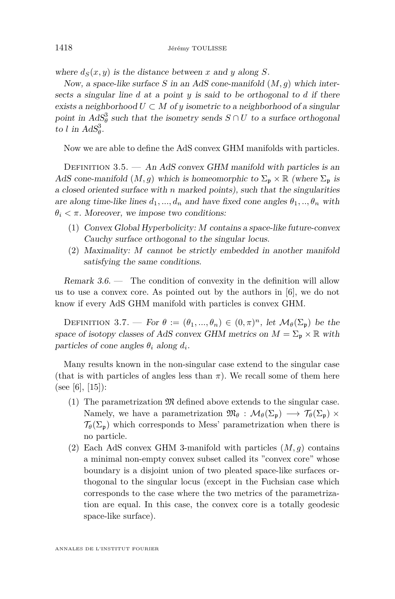where  $d_S(x, y)$  is the distance between x and y along *S*.

Now, a space-like surface *S* in an AdS cone-manifold (*M, g*) which intersects a singular line *d* at a point *y* is said to be orthogonal to *d* if there exists a neighborhood  $U \subset M$  of *y* isometric to a neighborhood of a singular point in  $AdS^3_\theta$  such that the isometry sends  $S \cap U$  to a surface orthogonal to *l* in  $AdS^3_{\theta}$ .

Now we are able to define the AdS convex GHM manifolds with particles.

DEFINITION 3.5.  $-$  An AdS convex GHM manifold with particles is an AdS cone-manifold  $(M, g)$  which is homeomorphic to  $\Sigma_{\mathfrak{p}} \times \mathbb{R}$  (where  $\Sigma_{\mathfrak{p}}$  is a closed oriented surface with *n* marked points), such that the singularities are along time-like lines  $d_1, ..., d_n$  and have fixed cone angles  $\theta_1, ..., \theta_n$  with  $\theta_i < \pi$ . Moreover, we impose two conditions:

- (1) Convex Global Hyperbolicity: *M* contains a space-like future-convex Cauchy surface orthogonal to the singular locus.
- (2) Maximality: *M* cannot be strictly embedded in another manifold satisfying the same conditions.

Remark  $3.6.$  — The condition of convexity in the definition will allow us to use a convex core. As pointed out by the authors in [\[6\]](#page-40-9), we do not know if every AdS GHM manifold with particles is convex GHM.

DEFINITION 3.7. — For  $\theta := (\theta_1, ..., \theta_n) \in (0, \pi)^n$ , let  $\mathcal{M}_{\theta}(\Sigma_{\mathfrak{p}})$  be the space of isotopy classes of AdS convex GHM metrics on  $M = \Sigma_{\mathfrak{p}} \times \mathbb{R}$  with particles of cone angles  $\theta_i$  along  $d_i$ .

Many results known in the non-singular case extend to the singular case (that is with particles of angles less than  $\pi$ ). We recall some of them here (see [\[6\]](#page-40-9), [\[15\]](#page-40-12)):

- (1) The parametrization  $\mathfrak{M}$  defined above extends to the singular case. Namely, we have a parametrization  $\mathfrak{M}_{\theta}: \mathcal{M}_{\theta}(\Sigma_{\mathfrak{p}}) \longrightarrow \mathcal{T}_{\theta}(\Sigma_{\mathfrak{p}}) \times$  $\mathcal{T}_{\theta}(\Sigma_{p})$  which corresponds to Mess' parametrization when there is no particle.
- (2) Each AdS convex GHM 3-manifold with particles  $(M, g)$  contains a minimal non-empty convex subset called its "convex core" whose boundary is a disjoint union of two pleated space-like surfaces orthogonal to the singular locus (except in the Fuchsian case which corresponds to the case where the two metrics of the parametrization are equal. In this case, the convex core is a totally geodesic space-like surface).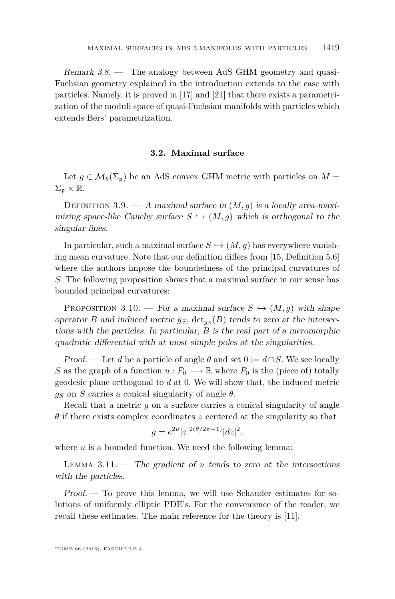Remark 3.8. — The analogy between AdS GHM geometry and quasi-Fuchsian geometry explained in the introduction extends to the case with particles. Namely, it is proved in [\[17\]](#page-40-14) and [\[21\]](#page-40-15) that there exists a parametrization of the moduli space of quasi-Fuchsian manifolds with particles which extends Bers' parametrization.

#### **3.2. Maximal surface**

Let  $g \in \mathcal{M}_{\theta}(\Sigma_{p})$  be an AdS convex GHM metric with particles on  $M =$  $\Sigma_{\mathfrak{p}} \times \mathbb{R}$ .

DEFINITION 3.9. — A maximal surface in  $(M, g)$  is a locally area-maximizing space-like Cauchy surface  $S \hookrightarrow (M, g)$  which is orthogonal to the singular lines.

In particular, such a maximal surface  $S \hookrightarrow (M, g)$  has everywhere vanishing mean curvature. Note that our definition differs from [\[15,](#page-40-12) Definition 5.6] where the authors impose the boundedness of the principal curvatures of *S*. The following proposition shows that a maximal surface in our sense has bounded principal curvatures:

<span id="page-11-0"></span>PROPOSITION 3.10. — For a maximal surface  $S \hookrightarrow (M, g)$  with shape operator *B* and induced metric  $g_S$ ,  $\det_{g_S}(B)$  tends to zero at the intersections with the particles. In particular, *B* is the real part of a meromorphic quadratic differential with at most simple poles at the singularities.

Proof. — Let *d* be a particle of angle  $\theta$  and set  $0 := d \cap S$ . We see locally *S* as the graph of a function  $u : P_0 \longrightarrow \mathbb{R}$  where  $P_0$  is the (piece of) totally geodesic plane orthogonal to *d* at 0. We will show that, the induced metric  $g_S$  on *S* carries a conical singularity of angle  $\theta$ .

Recall that a metric *g* on a surface carries a conical singularity of angle *θ* if there exists complex coordinates *z* centered at the singularity so that

$$
g = e^{2u} |z|^{2(\theta/2\pi - 1)} |dz|^2,
$$

where *u* is a bounded function. We need the following lemma:

LEMMA  $3.11.$  – The gradient of *u* tends to zero at the intersections with the particles.

Proof. — To prove this lemma, we will use Schauder estimates for solutions of uniformly elliptic PDE's. For the convenience of the reader, we recall these estimates. The main reference for the theory is [\[11\]](#page-40-16).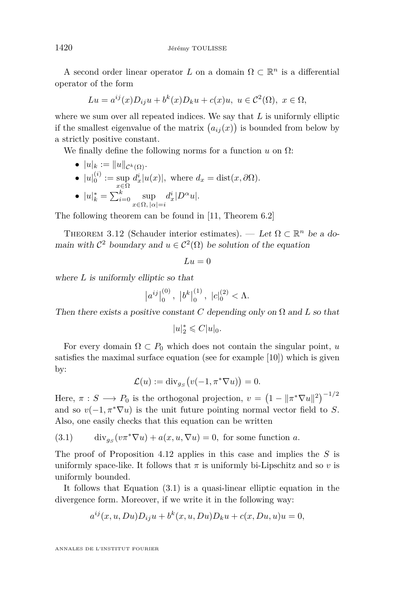A second order linear operator  $L$  on a domain  $\Omega \subset \mathbb{R}^n$  is a differential operator of the form

$$
Lu = a^{ij}(x)D_{ij}u + b^k(x)D_ku + c(x)u, \ u \in \mathcal{C}^2(\Omega), \ x \in \Omega,
$$

where we sum over all repeated indices. We say that *L* is uniformly elliptic if the smallest eigenvalue of the matrix  $(a_{ij}(x))$  is bounded from below by a strictly positive constant.

We finally define the following norms for a function  $u$  on  $\Omega$ :

- $|u|_k := ||u||_{\mathcal{C}^k(\Omega)}$ .
- $|u|_0^{(i)} := \sup_{x \in \Omega} d_x^i |u(x)|$ , where  $d_x = \text{dist}(x, \partial \Omega)$ . •  $|u|_k^* = \sum_{i=0}^k \sup_{x \in \Omega, |\alpha| = i}$  $d_x^i|D^\alpha u|.$

The following theorem can be found in [\[11,](#page-40-16) Theorem 6.2]

<span id="page-12-1"></span>THEOREM 3.12 (Schauder interior estimates). — Let  $\Omega \subset \mathbb{R}^n$  be a domain with  $C^2$  boundary and  $u \in C^2(\Omega)$  be solution of the equation

$$
Lu = 0
$$

where *L* is uniformly elliptic so that

$$
|a^{ij}|_0^{(0)}, |b^k|_0^{(1)}, |c|_0^{(2)} < \Lambda.
$$

Then there exists a positive constant *C* depending only on  $\Omega$  and *L* so that

$$
|u|_2^*\leqslant C|u|_0.
$$

For every domain  $\Omega \subset P_0$  which does not contain the singular point, *u* satisfies the maximal surface equation (see for example [\[10\]](#page-40-17)) which is given by:

$$
\mathcal{L}(u) := \mathrm{div}_{g_S}\big(v(-1, \pi^*\nabla u)\big) = 0.
$$

Here,  $\pi : S \longrightarrow P_0$  is the orthogonal projection,  $v = (1 - ||\pi^* \nabla u||^2)^{-1/2}$ and so  $v(-1, \pi^* \nabla u)$  is the unit future pointing normal vector field to *S*. Also, one easily checks that this equation can be written

<span id="page-12-0"></span>(3.1) div<sub>gs</sub> $(v\pi^*\nabla u) + a(x, u, \nabla u) = 0$ , for some function *a*.

The proof of Proposition [4.12](#page-23-0) applies in this case and implies the *S* is uniformly space-like. It follows that  $\pi$  is uniformly bi-Lipschitz and so  $v$  is uniformly bounded.

It follows that Equation [\(3.1\)](#page-12-0) is a quasi-linear elliptic equation in the divergence form. Moreover, if we write it in the following way:

$$
a^{ij}(x, u, Du)D_{ij}u + b^k(x, u, Du)D_ku + c(x, Du, u)u = 0,
$$

ANNALES DE L'INSTITUT FOURIER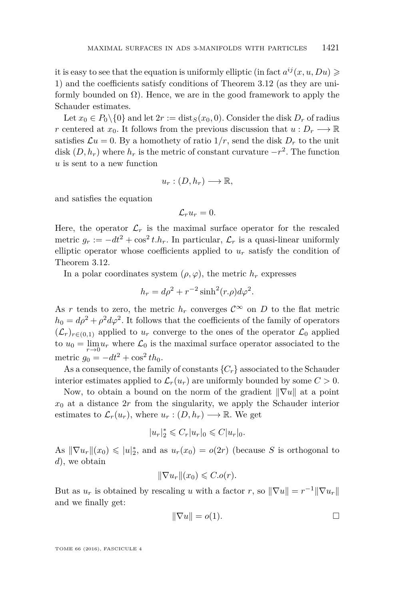it is easy to see that the equation is uniformly elliptic (in fact  $a^{ij}(x, u, Du) \geqslant$ 1) and the coefficients satisfy conditions of Theorem [3.12](#page-12-1) (as they are uniformly bounded on  $\Omega$ ). Hence, we are in the good framework to apply the Schauder estimates.

Let  $x_0 \in P_0 \setminus \{0\}$  and let  $2r := \text{dist}_S(x_0, 0)$ . Consider the disk  $D_r$  of radius *r* centered at  $x_0$ . It follows from the previous discussion that  $u: D_r \longrightarrow \mathbb{R}$ satisfies  $\mathcal{L}u = 0$ . By a homothety of ratio  $1/r$ , send the disk  $D_r$  to the unit disk  $(D, h_r)$  where  $h_r$  is the metric of constant curvature  $-r^2$ . The function *u* is sent to a new function

$$
u_r:(D,h_r)\longrightarrow \mathbb{R},
$$

and satisfies the equation

$$
\mathcal{L}_r u_r=0.
$$

Here, the operator  $\mathcal{L}_r$  is the maximal surface operator for the rescaled metric  $g_r := -dt^2 + \cos^2 t \cdot h_r$ . In particular,  $\mathcal{L}_r$  is a quasi-linear uniformly elliptic operator whose coefficients applied to  $u_r$  satisfy the condition of Theorem [3.12.](#page-12-1)

In a polar coordinates system  $(\rho, \varphi)$ , the metric  $h_r$  expresses

$$
h_r = d\rho^2 + r^{-2} \sinh^2(r \cdot \rho) d\varphi^2.
$$

As *r* tends to zero, the metric  $h_r$  converges  $C^{\infty}$  on *D* to the flat metric  $h_0 = d\rho^2 + \rho^2 d\varphi^2$ . It follows that the coefficients of the family of operators  $(\mathcal{L}_r)_{r \in (0,1)}$  applied to  $u_r$  converge to the ones of the operator  $\mathcal{L}_0$  applied to  $u_0 = \lim_{r \to 0} u_r$  where  $\mathcal{L}_0$  is the maximal surface operator associated to the metric  $g_0 = -dt^2 + \cos^2 t h_0$ .

As a consequence, the family of constants  ${C<sub>r</sub>}$  associated to the Schauder interior estimates applied to  $\mathcal{L}_r(u_r)$  are uniformly bounded by some  $C > 0$ .

Now, to obtain a bound on the norm of the gradient  $\|\nabla u\|$  at a point  $x_0$  at a distance  $2r$  from the singularity, we apply the Schauder interior estimates to  $\mathcal{L}_r(u_r)$ , where  $u_r: (D, h_r) \longrightarrow \mathbb{R}$ . We get

$$
|u_r|_2^* \leqslant C_r |u_r|_0 \leqslant C |u_r|_0.
$$

As  $\|\nabla u_r\|(x_0) \leq u\|_2^*$ , and as  $u_r(x_0) = o(2r)$  (because *S* is orthogonal to *d*), we obtain

$$
\|\nabla u_r\|(x_0)\leqslant C.o(r).
$$

But as  $u_r$  is obtained by rescaling *u* with a factor *r*, so  $\|\nabla u\| = r^{-1} \|\nabla u_r\|$ and we finally get:

$$
\|\nabla u\| = o(1). \qquad \qquad \Box
$$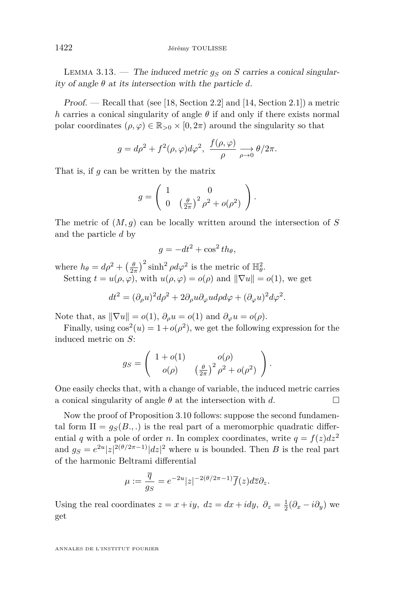LEMMA 3.13. — The induced metric  $q_S$  on *S* carries a conical singularity of angle *θ* at its intersection with the particle *d*.

Proof. — Recall that (see [\[18,](#page-40-18) Section 2.2] and [\[14,](#page-40-19) Section 2.1]) a metric *h* carries a conical singularity of angle  $\theta$  if and only if there exists normal polar coordinates  $(\rho, \varphi) \in \mathbb{R}_{>0} \times [0, 2\pi)$  around the singularity so that

$$
g = d\rho^2 + f^2(\rho, \varphi) d\varphi^2, \ \frac{f(\rho, \varphi)}{\rho} \underset{\rho \to 0}{\longrightarrow} \theta/2\pi.
$$

That is, if *g* can be written by the matrix

$$
g = \left(\begin{array}{cc} 1 & 0 \\ 0 & \left(\frac{\theta}{2\pi}\right)^2 \rho^2 + o(\rho^2) \end{array}\right).
$$

The metric of  $(M, g)$  can be locally written around the intersection of *S* and the particle *d* by

$$
g = -dt^2 + \cos^2 t h_\theta,
$$

where  $h_{\theta} = d\rho^2 + \left(\frac{\theta}{2\pi}\right)^2 \sinh^2 \rho d\varphi^2$  is the metric of  $\mathbb{H}^2_{\theta}$ . Setting  $t = u(\rho, \varphi)$ , with  $u(\rho, \varphi) = o(\rho)$  and  $\|\nabla u\| = o(1)$ , we get

$$
dt^{2} = (\partial_{\rho}u)^{2} d\rho^{2} + 2\partial_{\rho}u\partial_{\varphi}u d\rho d\varphi + (\partial_{\varphi}u)^{2} d\varphi^{2}.
$$

Note that, as  $\|\nabla u\| = o(1)$ ,  $\partial_\rho u = o(1)$  and  $\partial_\varphi u = o(\rho)$ .

Finally, using  $\cos^2(u) = 1 + o(\rho^2)$ , we get the following expression for the induced metric on *S*:

$$
g_S = \begin{pmatrix} 1 + o(1) & o(\rho) \\ o(\rho) & \left(\frac{\theta}{2\pi}\right)^2 \rho^2 + o(\rho^2) \end{pmatrix}.
$$

One easily checks that, with a change of variable, the induced metric carries a conical singularity of angle  $\theta$  at the intersection with  $d$ .

Now the proof of Proposition [3.10](#page-11-0) follows: suppose the second fundamental form  $II = g_S(B, ..)$  is the real part of a meromorphic quadratic differential *q* with a pole of order *n*. In complex coordinates, write  $q = f(z)dz^2$ and  $g_S = e^{2u} |z|^{2(\theta/2\pi - 1)} |dz|^2$  where *u* is bounded. Then *B* is the real part of the harmonic Beltrami differential

$$
\mu := \frac{\overline{q}}{g_S} = e^{-2u}|z|^{-2(\theta/2\pi - 1)}\overline{f}(z)d\overline{z}\partial_z.
$$

Using the real coordinates  $z = x + iy$ ,  $dz = dx + idy$ ,  $\partial_z = \frac{1}{2}(\partial_x - i\partial_y)$  we get

ANNALES DE L'INSTITUT FOURIER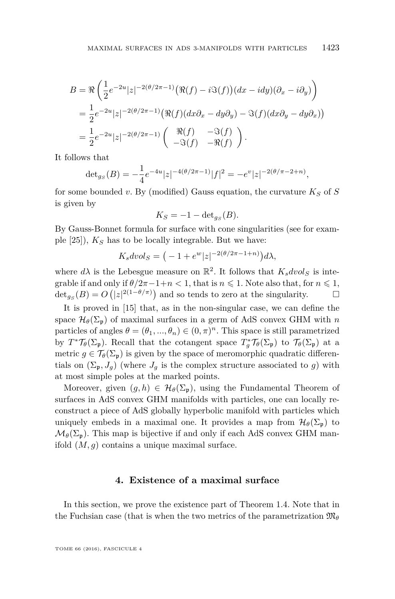$$
B = \Re\left(\frac{1}{2}e^{-2u}|z|^{-2(\theta/2\pi-1)}(\Re(f) - i\Im(f))(dx - idy)(\partial_x - i\partial_y)\right)
$$
  
= 
$$
\frac{1}{2}e^{-2u}|z|^{-2(\theta/2\pi-1)}(\Re(f)(dx\partial_x - dy\partial_y) - \Im(f)(dx\partial_y - dy\partial_x))
$$
  
= 
$$
\frac{1}{2}e^{-2u}|z|^{-2(\theta/2\pi-1)}\left(\begin{array}{cc} \Re(f) & -\Im(f) \\ -\Im(f) & -\Re(f) \end{array}\right).
$$

It follows that

$$
\det_{g_S}(B) = -\frac{1}{4}e^{-4u}|z|^{-4(\theta/2\pi-1)}|f|^2 = -e^v|z|^{-2(\theta/\pi-2+n)},
$$

for some bounded v. By (modified) Gauss equation, the curvature  $K_S$  of  $S$ is given by

$$
K_S = -1 - \det_{g_S}(B).
$$

By Gauss-Bonnet formula for surface with cone singularities (see for example [\[25\]](#page-41-0)), *K<sup>S</sup>* has to be locally integrable. But we have:

$$
K_s dvol_S = \left( -1 + e^w |z|^{-2(\theta/2\pi - 1 + n)} \right) d\lambda,
$$

where  $d\lambda$  is the Lebesgue measure on  $\mathbb{R}^2$ . It follows that  $K_s \text{d} \text{vol}_S$  is integrable if and only if  $\theta/2\pi-1+n<1$ , that is  $n \leq 1$ . Note also that, for  $n \leq 1$ ,  $\det_{g_S}(B) = O(|z|^{2(1-\theta/\pi)})$  and so tends to zero at the singularity.  $\Box$ 

It is proved in [\[15\]](#page-40-12) that, as in the non-singular case, we can define the space  $\mathcal{H}_{\theta}(\Sigma_{p})$  of maximal surfaces in a germ of AdS convex GHM with *n* particles of angles  $\theta = (\theta_1, ..., \theta_n) \in (0, \pi)^n$ . This space is still parametrized by  $T^* \mathcal{T}_{\theta}(\Sigma_{\mathfrak{p}})$ . Recall that the cotangent space  $T^*_{g} \mathcal{T}_{\theta}(\Sigma_{\mathfrak{p}})$  to  $\mathcal{T}_{\theta}(\Sigma_{\mathfrak{p}})$  at a metric  $g \in \mathcal{T}_{\theta}(\Sigma_{\mathfrak{p}})$  is given by the space of meromorphic quadratic differentials on  $(\Sigma_{\mathfrak{p}}, J_g)$  (where  $J_g$  is the complex structure associated to *g*) with at most simple poles at the marked points.

Moreover, given  $(g, h) \in \mathcal{H}_{\theta}(\Sigma_{p})$ , using the Fundamental Theorem of surfaces in AdS convex GHM manifolds with particles, one can locally reconstruct a piece of AdS globally hyperbolic manifold with particles which uniquely embeds in a maximal one. It provides a map from  $\mathcal{H}_{\theta}(\Sigma_{p})$  to  $\mathcal{M}_{\theta}(\Sigma_{p})$ . This map is bijective if and only if each AdS convex GHM manifold (*M, g*) contains a unique maximal surface.

#### **4. Existence of a maximal surface**

In this section, we prove the existence part of Theorem [1.4.](#page-4-0) Note that in the Fuchsian case (that is when the two metrics of the parametrization  $\mathfrak{M}_{\theta}$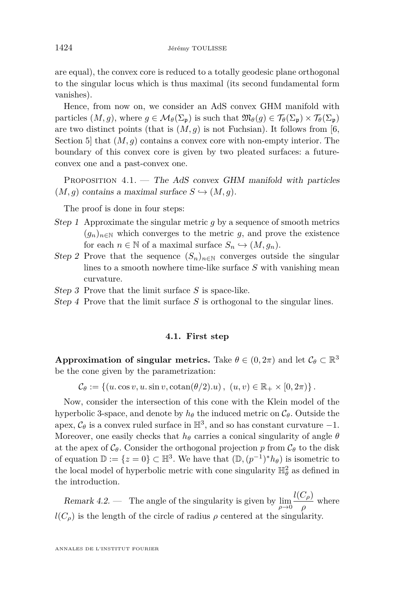are equal), the convex core is reduced to a totally geodesic plane orthogonal to the singular locus which is thus maximal (its second fundamental form vanishes).

Hence, from now on, we consider an AdS convex GHM manifold with particles  $(M, g)$ , where  $g \in \mathcal{M}_{\theta}(\Sigma_{p})$  is such that  $\mathfrak{M}_{\theta}(g) \in \mathcal{T}_{\theta}(\Sigma_{p}) \times \mathcal{T}_{\theta}(\Sigma_{p})$ are two distinct points (that is  $(M, g)$ ) is not Fuchsian). It follows from [\[6,](#page-40-9) Section 5] that (*M, g*) contains a convex core with non-empty interior. The boundary of this convex core is given by two pleated surfaces: a futureconvex one and a past-convex one.

<span id="page-16-0"></span>PROPOSITION  $4.1.$  — The AdS convex GHM manifold with particles  $(M, g)$  contains a maximal surface  $S \hookrightarrow (M, g)$ .

The proof is done in four steps:

- Step 1 Approximate the singular metric *g* by a sequence of smooth metrics  $(g_n)_{n\in\mathbb{N}}$  which converges to the metric *g*, and prove the existence for each  $n \in \mathbb{N}$  of a maximal surface  $S_n \hookrightarrow (M, g_n)$ .
- Step 2 Prove that the sequence  $(S_n)_{n\in\mathbb{N}}$  converges outside the singular lines to a smooth nowhere time-like surface *S* with vanishing mean curvature.
- Step 3 Prove that the limit surface *S* is space-like.
- Step 4 Prove that the limit surface *S* is orthogonal to the singular lines.

#### **4.1. First step**

**Approximation of singular metrics.** Take  $\theta \in (0, 2\pi)$  and let  $\mathcal{C}_{\theta} \subset \mathbb{R}^3$ be the cone given by the parametrization:

 $C_{\theta} := \{(u \cdot \cos v, u \cdot \sin v, \cot \frac{\theta}{2})\}$ ,  $(u, v) \in \mathbb{R}_+ \times [0, 2\pi)\}$ .

Now, consider the intersection of this cone with the Klein model of the hyperbolic 3-space, and denote by  $h_{\theta}$  the induced metric on  $\mathcal{C}_{\theta}$ . Outside the apex,  $C_{\theta}$  is a convex ruled surface in  $\mathbb{H}^3$ , and so has constant curvature  $-1$ . Moreover, one easily checks that  $h_{\theta}$  carries a conical singularity of angle  $\theta$ at the apex of  $\mathcal{C}_{\theta}$ . Consider the orthogonal projection p from  $\mathcal{C}_{\theta}$  to the disk of equation  $\mathbb{D} := \{z = 0\} \subset \mathbb{H}^3$ . We have that  $(\mathbb{D}, (p^{-1})^* h_{\theta})$  is isometric to the local model of hyperbolic metric with cone singularity  $\mathbb{H}_{\theta}^2$  as defined in the introduction.

Remark 4.2. — The angle of the singularity is given by lim *ρ*→0  $l(C_\rho)$  $\frac{\partial \rho}{\partial p}$  where  $l(C_{\rho})$  is the length of the circle of radius  $\rho$  centered at the singularity.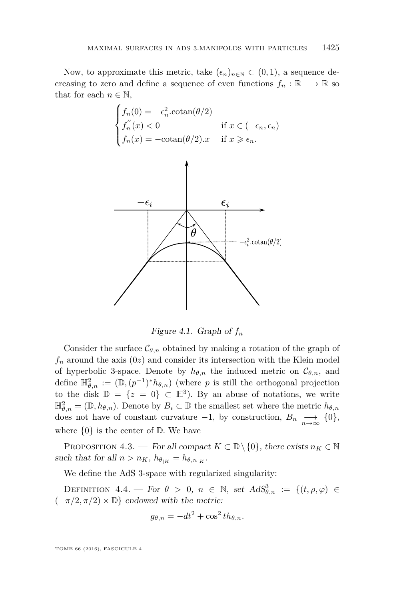Now, to approximate this metric, take  $(\epsilon_n)_{n\in\mathbb{N}}\subset(0,1)$ , a sequence decreasing to zero and define a sequence of even functions  $f_n : \mathbb{R} \longrightarrow \mathbb{R}$  so that for each  $n \in \mathbb{N}$ ,



Figure 4.1. Graph of *f<sup>n</sup>*

Consider the surface  $\mathcal{C}_{\theta,n}$  obtained by making a rotation of the graph of  $f_n$  around the axis  $(0z)$  and consider its intersection with the Klein model of hyperbolic 3-space. Denote by  $h_{\theta,n}$  the induced metric on  $\mathcal{C}_{\theta,n}$ , and define  $\mathbb{H}^2_{\theta,n} := (\mathbb{D}, (p^{-1})^* h_{\theta,n})$  (where *p* is still the orthogonal projection to the disk  $\mathbb{D} = \{z = 0\} \subset \mathbb{H}^3$ . By an abuse of notations, we write  $\mathbb{H}_{\theta,n}^2 = (\mathbb{D}, h_{\theta,n})$ . Denote by  $B_i \subset \mathbb{D}$  the smallest set where the metric  $h_{\theta,n}$ does not have of constant curvature  $-1$ , by construction,  $B_n \longrightarrow_{\infty} \{0\},$ where  $\{0\}$  is the center of  $D$ . We have

PROPOSITION 4.3. — For all compact  $K \subset \mathbb{D} \setminus \{0\}$ , there exists  $n_K \in \mathbb{N}$ such that for all  $n > n_K$ ,  $h_{\theta_{|K}} = h_{\theta, n_{|K}}$ .

We define the AdS 3-space with regularized singularity:

DEFINITION 4.4. — For  $\theta > 0$ ,  $n \in \mathbb{N}$ , set  $AdS^3_{\theta,n} := \{(t, \rho, \varphi) \in$  $(-\pi/2, \pi/2) \times \mathbb{D}$ } endowed with the metric:

$$
g_{\theta,n} = -dt^2 + \cos^2 t h_{\theta,n}.
$$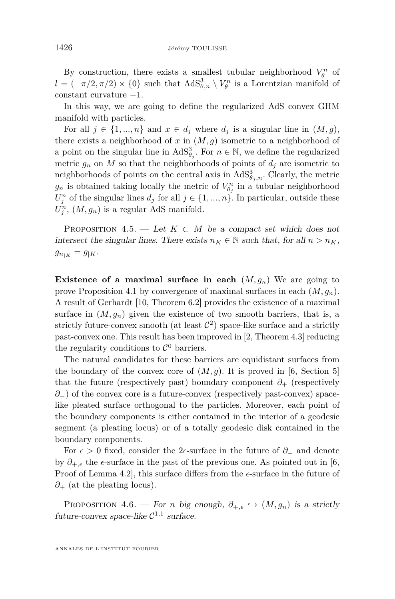By construction, there exists a smallest tubular neighborhood  $V_{\theta}^{n}$  of  $l = (-\pi/2, \pi/2) \times \{0\}$  such that  $AdS^3_{\theta,n} \setminus V^n_\theta$  is a Lorentzian manifold of constant curvature −1.

In this way, we are going to define the regularized AdS convex GHM manifold with particles.

For all  $j \in \{1, ..., n\}$  and  $x \in d_j$  where  $d_j$  is a singular line in  $(M, g)$ , there exists a neighborhood of  $x$  in  $(M, g)$  isometric to a neighborhood of a point on the singular line in  $AdS^3_{\theta_j}$ . For  $n \in \mathbb{N}$ , we define the regularized metric  $g_n$  on  $M$  so that the neighborhoods of points of  $d_j$  are isometric to neighborhoods of points on the central axis in  $AdS^3_{\theta_j,n}$ . Clearly, the metric  $g_n$  is obtained taking locally the metric of  $V_{\theta_j}^n$  in a tubular neighborhood  $U_j^n$  of the singular lines  $d_j$  for all  $j \in \{1, ..., n\}$ . In particular, outside these  $U_j^n$ ,  $(M, g_n)$  is a regular AdS manifold.

PROPOSITION 4.5. — Let  $K \subset M$  be a compact set which does not intersect the singular lines. There exists  $n_K \in \mathbb{N}$  such that, for all  $n > n_K$ ,  $g_{n_{|K}} = g_{|K}$ .

**Existence of a maximal surface in each**  $(M, g_n)$  We are going to prove Proposition [4.1](#page-16-0) by convergence of maximal surfaces in each (*M, gn*). A result of Gerhardt [\[10,](#page-40-17) Theorem 6.2] provides the existence of a maximal surface in  $(M, g_n)$  given the existence of two smooth barriers, that is, a strictly future-convex smooth (at least  $\mathcal{C}^2$ ) space-like surface and a strictly past-convex one. This result has been improved in [\[2,](#page-40-20) Theorem 4.3] reducing the regularity conditions to  $\mathcal{C}^0$  barriers.

The natural candidates for these barriers are equidistant surfaces from the boundary of the convex core of  $(M, g)$ . It is proved in [\[6,](#page-40-9) Section 5] that the future (respectively past) boundary component  $\partial_{+}$  (respectively *∂*−) of the convex core is a future-convex (respectively past-convex) spacelike pleated surface orthogonal to the particles. Moreover, each point of the boundary components is either contained in the interior of a geodesic segment (a pleating locus) or of a totally geodesic disk contained in the boundary components.

For  $\epsilon > 0$  fixed, consider the 2 $\epsilon$ -surface in the future of  $\partial_+$  and denote by  $\partial_{+,\epsilon}$  the  $\epsilon$ -surface in the past of the previous one. As pointed out in [\[6,](#page-40-9) Proof of Lemma 4.2, this surface differs from the  $\epsilon$ -surface in the future of *∂*<sup>+</sup> (at the pleating locus).

<span id="page-18-0"></span>PROPOSITION 4.6. — For *n* big enough,  $\partial_{+,\epsilon} \hookrightarrow (M,g_n)$  is a strictly future-convex space-like  $C^{1,1}$  surface.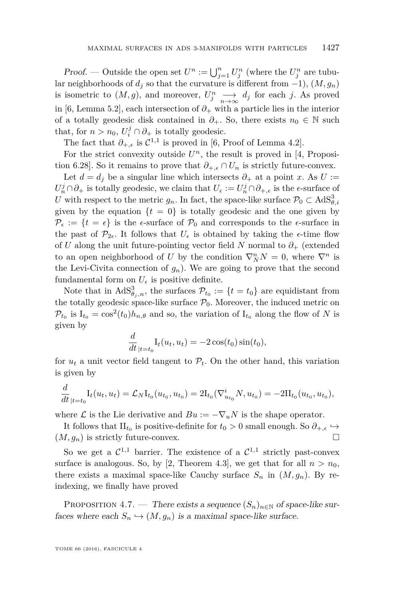*Proof.* — Outside the open set  $U^n := \bigcup_{j=1}^n U_j^n$  (where the  $U_j^n$  are tubular neighborhoods of  $d_j$  so that the curvature is different from  $-1$ ),  $(M, g_n)$ is isometric to  $(M, g)$ , and moreover,  $U_j^n \longrightarrow d_j$  for each *j*. As proved in [\[6,](#page-40-9) Lemma 5.2], each intersection of  $\partial_+$  with a particle lies in the interior of a totally geodesic disk contained in  $\partial_{+}$ . So, there exists  $n_0 \in \mathbb{N}$  such that, for  $n > n_0$ ,  $U_i^j \cap \partial_+$  is totally geodesic.

The fact that  $\partial_{+,\epsilon}$  is  $\mathcal{C}^{1,1}$  is proved in [\[6,](#page-40-9) Proof of Lemma 4.2].

For the strict convexity outside  $U<sup>n</sup>$ , the result is proved in [\[4,](#page-40-7) Proposition 6.28]. So it remains to prove that  $\partial_{+,\epsilon} \cap U_n$  is strictly future-convex.

Let  $d = d_j$  be a singular line which intersects  $\partial_+$  at a point *x*. As  $U :=$  $U_n^j \cap \partial_+$  is totally geodesic, we claim that  $U_{\epsilon} := U_n^j \cap \partial_{+,\epsilon}$  is the  $\epsilon$ -surface of *U* with respect to the metric  $g_n$ . In fact, the space-like surface  $\mathcal{P}_0 \subset AdS^3_{\theta,i}$ given by the equation  $\{t = 0\}$  is totally geodesic and the one given by  $\mathcal{P}_{\epsilon} := \{t = \epsilon\}$  is the  $\epsilon$ -surface of  $\mathcal{P}_{0}$  and corresponds to the  $\epsilon$ -surface in the past of  $\mathcal{P}_{2\epsilon}$ . It follows that  $U_{\epsilon}$  is obtained by taking the  $\epsilon$ -time flow of *U* along the unit future-pointing vector field *N* normal to *∂*<sup>+</sup> (extended to an open neighborhood of *U* by the condition  $\nabla_N^n N = 0$ , where  $\nabla^n$  is the Levi-Civita connection of  $g_n$ ). We are going to prove that the second fundamental form on  $U_{\epsilon}$  is positive definite.

Note that in  $AdS^3_{\theta_j,n}$ , the surfaces  $\mathcal{P}_{t_0} := \{t = t_0\}$  are equidistant from the totally geodesic space-like surface  $P_0$ . Moreover, the induced metric on  $\mathcal{P}_{t_0}$  is  $I_{t_0} = \cos^2(t_0)h_{n,\theta}$  and so, the variation of  $I_{t_0}$  along the flow of *N* is given by

$$
\frac{d}{dt}_{|t=t_0} \mathcal{I}_t(u_t, u_t) = -2\cos(t_0)\sin(t_0),
$$

for  $u_t$  a unit vector field tangent to  $\mathcal{P}_t$ . On the other hand, this variation is given by

$$
\frac{d}{dt}_{|t=t_0} \mathcal{I}_t(u_t, u_t) = \mathcal{L}_N \mathcal{I}_{t_0}(u_{t_0}, u_{t_0}) = 2 \mathcal{I}_{t_0}(\nabla_{u_{t_0}}^i N, u_{t_0}) = -2 \mathcal{I}_{t_0}(u_{t_0}, u_{t_0}),
$$

where  $\mathcal L$  is the Lie derivative and  $Bu := -\nabla_u N$  is the shape operator.

It follows that  $\text{II}_{t_0}$  is positive-definite for  $t_0 > 0$  small enough. So  $\partial_{+,\epsilon} \hookrightarrow$  $(M, g_n)$  is strictly future-convex.

So we get a  $C^{1,1}$  barrier. The existence of a  $C^{1,1}$  strictly past-convex surface is analogous. So, by [\[2,](#page-40-20) Theorem 4.3], we get that for all  $n > n_0$ , there exists a maximal space-like Cauchy surface  $S_n$  in  $(M, g_n)$ . By reindexing, we finally have proved

<span id="page-19-0"></span>PROPOSITION 4.7. — There exists a sequence  $(S_n)_{n\in\mathbb{N}}$  of space-like surfaces where each  $S_n \hookrightarrow (M, g_n)$  is a maximal space-like surface.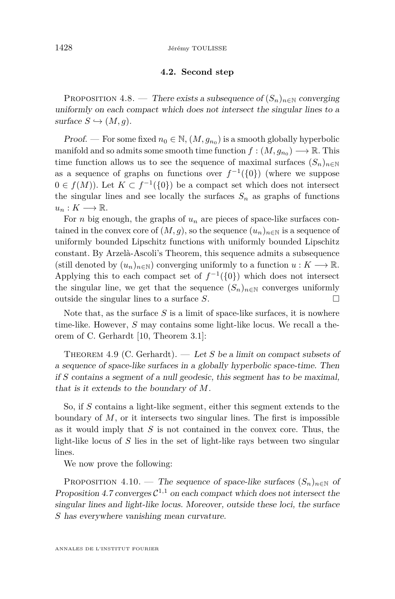#### **4.2. Second step**

<span id="page-20-0"></span>PROPOSITION 4.8. — There exists a subsequence of  $(S_n)_{n\in\mathbb{N}}$  converging uniformly on each compact which does not intersect the singular lines to a  $surface S \hookrightarrow (M, q)$ .

Proof. — For some fixed  $n_0 \in \mathbb{N}$ ,  $(M, g_{n_0})$  is a smooth globally hyperbolic manifold and so admits some smooth time function  $f : (M, g_{n_0}) \longrightarrow \mathbb{R}$ . This time function allows us to see the sequence of maximal surfaces  $(S_n)_{n\in\mathbb{N}}$ as a sequence of graphs on functions over  $f^{-1}(\{0\})$  (where we suppose  $0 \in f(M)$ ). Let  $K \subset f^{-1}(\{0\})$  be a compact set which does not intersect the singular lines and see locally the surfaces  $S_n$  as graphs of functions  $u_n: K \longrightarrow \mathbb{R}.$ 

For *n* big enough, the graphs of  $u_n$  are pieces of space-like surfaces contained in the convex core of  $(M, g)$ , so the sequence  $(u_n)_{n \in \mathbb{N}}$  is a sequence of uniformly bounded Lipschitz functions with uniformly bounded Lipschitz constant. By Arzelà-Ascoli's Theorem, this sequence admits a subsequence (still denoted by  $(u_n)_{n\in\mathbb{N}}$ ) converging uniformly to a function  $u: K \longrightarrow \mathbb{R}$ . Applying this to each compact set of  $f^{-1}(\{0\})$  which does not intersect the singular line, we get that the sequence  $(S_n)_{n\in\mathbb{N}}$  converges uniformly outside the singular lines to a surface *S*.

Note that, as the surface *S* is a limit of space-like surfaces, it is nowhere time-like. However, *S* may contains some light-like locus. We recall a theorem of C. Gerhardt [\[10,](#page-40-17) Theorem 3.1]:

THEOREM 4.9 (C. Gerhardt). — Let *S* be a limit on compact subsets of a sequence of space-like surfaces in a globally hyperbolic space-time. Then if *S* contains a segment of a null geodesic, this segment has to be maximal, that is it extends to the boundary of *M*.

So, if *S* contains a light-like segment, either this segment extends to the boundary of *M*, or it intersects two singular lines. The first is impossible as it would imply that *S* is not contained in the convex core. Thus, the light-like locus of *S* lies in the set of light-like rays between two singular lines.

We now prove the following:

<span id="page-20-1"></span>PROPOSITION 4.10. — The sequence of space-like surfaces  $(S_n)_{n\in\mathbb{N}}$  of Proposition [4.7](#page-19-0) converges  $C^{1,1}$  on each compact which does not intersect the singular lines and light-like locus. Moreover, outside these loci, the surface *S* has everywhere vanishing mean curvature.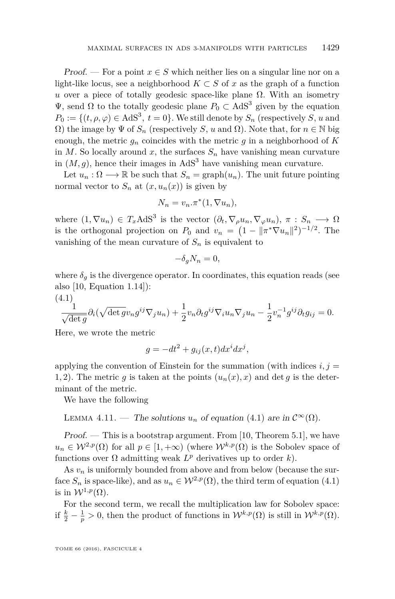Proof. — For a point  $x \in S$  which neither lies on a singular line nor on a light-like locus, see a neighborhood  $K \subset S$  of x as the graph of a function *u* over a piece of totally geodesic space-like plane  $\Omega$ . With an isometry  $Ψ$ , send Ω to the totally geodesic plane  $P_0 \subset AdS^3$  given by the equation  $P_0 := \{(t, \rho, \varphi) \in \text{AdS}^3, t = 0\}.$  We still denote by  $S_n$  (respectively *S*, *u* and Ω) the image by Ψ of *S<sup>n</sup>* (respectively *S*, *u* and Ω). Note that, for *n* ∈ N big enough, the metric  $q_n$  coincides with the metric  $q$  in a neighborhood of  $K$ in  $M$ . So locally around  $x$ , the surfaces  $S_n$  have vanishing mean curvature in  $(M, g)$ , hence their images in  $AdS<sup>3</sup>$  have vanishing mean curvature.

Let  $u_n : \Omega \longrightarrow \mathbb{R}$  be such that  $S_n = \text{graph}(u_n)$ . The unit future pointing normal vector to  $S_n$  at  $(x, u_n(x))$  is given by

$$
N_n = v_n.\pi^*(1, \nabla u_n),
$$

where  $(1, \nabla u_n) \in T_x \text{AdS}^3$  is the vector  $(\partial_t, \nabla_\rho u_n, \nabla_\varphi u_n), \pi : S_n \longrightarrow \Omega$ is the orthogonal projection on  $P_0$  and  $v_n = (1 - ||\pi^* \nabla u_n||^2)^{-1/2}$ . The vanishing of the mean curvature of  $S_n$  is equivalent to

$$
-\delta_g N_n = 0,
$$

where  $\delta_q$  is the divergence operator. In coordinates, this equation reads (see also [\[10,](#page-40-17) Equation 1.14]):

<span id="page-21-0"></span>(4.1)  
\n
$$
\frac{1}{\sqrt{\det g}} \partial_i (\sqrt{\det g} v_n g^{ij} \nabla_j u_n) + \frac{1}{2} v_n \partial_t g^{ij} \nabla_i u_n \nabla_j u_n - \frac{1}{2} v_n^{-1} g^{ij} \partial_t g_{ij} = 0.
$$

Here, we wrote the metric

$$
g = -dt^2 + g_{ij}(x, t)dx^i dx^j,
$$

applying the convention of Einstein for the summation (with indices  $i, j =$ 1, 2). The metric g is taken at the points  $(u_n(x), x)$  and det g is the determinant of the metric.

We have the following

LEMMA 4.11. — The solutions 
$$
u_n
$$
 of equation (4.1) are in  $\mathcal{C}^{\infty}(\Omega)$ .

 $Proof.$  — This is a bootstrap argument. From [\[10,](#page-40-17) Theorem 5.1], we have  $u_n \in \mathcal{W}^{2,p}(\Omega)$  for all  $p \in [1, +\infty)$  (where  $\mathcal{W}^{k,p}(\Omega)$  is the Sobolev space of functions over  $\Omega$  admitting weak  $L^p$  derivatives up to order *k*).

As  $v_n$  is uniformly bounded from above and from below (because the surface  $S_n$  is space-like), and as  $u_n \in W^{2,p}(\Omega)$ , the third term of equation [\(4.1\)](#page-21-0) is in  $W^{1,p}(\Omega)$ .

For the second term, we recall the multiplication law for Sobolev space: if  $\frac{k}{2} - \frac{1}{p} > 0$ , then the product of functions in  $\mathcal{W}^{k,p}(\Omega)$  is still in  $\mathcal{W}^{k,p}(\Omega)$ .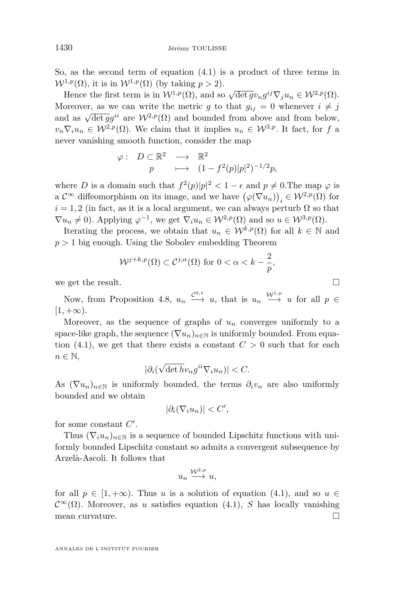So, as the second term of equation [\(4.1\)](#page-21-0) is a product of three terms in  $W^{1,p}(\Omega)$ , it is in  $W^{1,p}(\Omega)$  (by taking  $p > 2$ ).

Hence the first term is in  $W^{1,p}(\Omega)$ , and so  $\sqrt{\det g}v_n g^{ij}\nabla_j u_n \in W^{2,p}(\Omega)$ . Moreover, as we can write the metric *g* to that  $g_{ij} = 0$  whenever  $i \neq j$ and as  $\sqrt{\det g}g^{ii}$  are  $W^{2,p}(\Omega)$  and bounded from above and from below,  $v_n \nabla_i u_n \in \mathcal{W}^{2,p}(\Omega)$ . We claim that it implies  $u_n \in \mathcal{W}^{3,p}$ . It fact, for *f* a never vanishing smooth function, consider the map

$$
\begin{array}{cccc} \varphi :& D \subset \mathbb{R}^2 & \longrightarrow & \mathbb{R}^2 \\ & p & \longmapsto & (1-f^2(p)|p|^2)^{-1/2}p, \end{array}
$$

where *D* is a domain such that  $f^2(p)|p|^2 < 1 - \epsilon$  and  $p \neq 0$ . The map  $\varphi$  is a  $\mathcal{C}^{\infty}$  diffeomorphism on its image, and we have  $(\varphi(\nabla u_n))_i \in \mathcal{W}^{2,p}(\Omega)$  for  $i = 1, 2$  (in fact, as it is a local argument, we can always perturb  $\Omega$  so that  $\nabla u_n \neq 0$ ). Applying  $\varphi^{-1}$ , we get  $\nabla_i u_n \in \mathcal{W}^{2,p}(\Omega)$  and so  $u \in \mathcal{W}^{3,p}(\Omega)$ .

Iterating the process, we obtain that  $u_n \in \mathcal{W}^{k,p}(\Omega)$  for all  $k \in \mathbb{N}$  and  $p > 1$  big enough. Using the Sobolev embedding Theorem

$$
\mathcal{W}^{j+k,p}(\Omega) \subset \mathcal{C}^{j,\alpha}(\Omega) \text{ for } 0 < \alpha < k - \frac{2}{p},
$$

we get the result.  $\Box$ 

Now, from Proposition [4.8,](#page-20-0)  $u_n \xrightarrow{C^{0,1}} u$ , that is  $u_n \xrightarrow{W^{1,p}} u$  for all  $p \in$  $[1, +\infty)$ .

Moreover, as the sequence of graphs of  $u_n$  converges uniformly to a space-like graph, the sequence  $(\nabla u_n)_{n\in\mathbb{N}}$  is uniformly bounded. From equation  $(4.1)$ , we get that there exists a constant  $C > 0$  such that for each  $n \in \mathbb{N}$ , √

$$
|\partial_i(\sqrt{\det h}v_n g^{ii}\nabla_i u_n)| < C.
$$

As  $(\nabla u_n)_{n \in \mathbb{N}}$  is uniformly bounded, the terms  $\partial_i v_n$  are also uniformly bounded and we obtain

$$
|\partial_i(\nabla_i u_n)| < C',
$$

for some constant  $C'$ .

Thus  $(\nabla_i u_n)_{n\in\mathbb{N}}$  is a sequence of bounded Lipschitz functions with uniformly bounded Lipschitz constant so admits a convergent subsequence by Arzelà-Ascoli. It follows that

$$
u_n \stackrel{\mathcal{W}^{2,p}}{\longrightarrow} u,
$$

for all  $p \in [1, +\infty)$ . Thus *u* is a solution of equation [\(4.1\)](#page-21-0), and so  $u \in$  $\mathcal{C}^{\infty}(\Omega)$ . Moreover, as *u* satisfies equation [\(4.1\)](#page-21-0), *S* has locally vanishing mean curvature.  $\Box$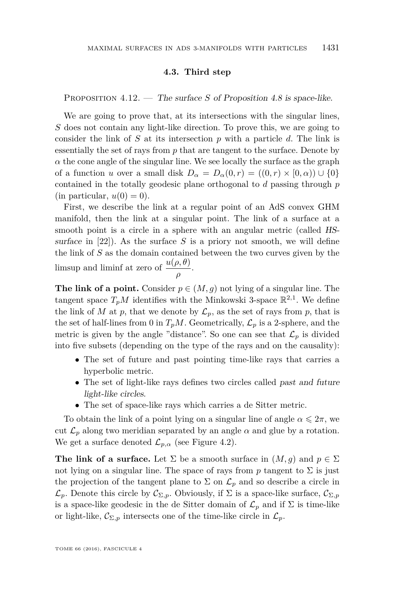#### **4.3. Third step**

<span id="page-23-0"></span>PROPOSITION 4.12. — The surface *S* of Proposition [4.8](#page-20-0) is space-like.

We are going to prove that, at its intersections with the singular lines, *S* does not contain any light-like direction. To prove this, we are going to consider the link of *S* at its intersection *p* with a particle *d*. The link is essentially the set of rays from *p* that are tangent to the surface. Denote by  $\alpha$  the cone angle of the singular line. We see locally the surface as the graph of a function *u* over a small disk  $D_{\alpha} = D_{\alpha}(0, r) = ((0, r) \times [0, \alpha)) \cup \{0\}$ contained in the totally geodesic plane orthogonal to *d* passing through *p*  $(in$  particular,  $u(0) = 0$ ).

First, we describe the link at a regular point of an AdS convex GHM manifold, then the link at a singular point. The link of a surface at a smooth point is a circle in a sphere with an angular metric (called HSsurface in  $[22]$ ). As the surface *S* is a priory not smooth, we will define the link of *S* as the domain contained between the two curves given by the limsup and liminf at zero of  $\frac{u(\rho,\theta)}{\rho}$ .

**The link of a point.** Consider  $p \in (M, g)$  not lying of a singular line. The tangent space  $T_pM$  identifies with the Minkowski 3-space  $\mathbb{R}^{2,1}$ . We define the link of *M* at *p*, that we denote by  $\mathcal{L}_p$ , as the set of rays from *p*, that is the set of half-lines from 0 in  $T_pM$ . Geometrically,  $\mathcal{L}_p$  is a 2-sphere, and the metric is given by the angle "distance". So one can see that  $\mathcal{L}_p$  is divided into five subsets (depending on the type of the rays and on the causality):

- The set of future and past pointing time-like rays that carries a hyperbolic metric.
- The set of light-like rays defines two circles called past and future light-like circles.
- The set of space-like rays which carries a de Sitter metric.

To obtain the link of a point lying on a singular line of angle  $\alpha \leq 2\pi$ , we cut  $\mathcal{L}_p$  along two meridian separated by an angle  $\alpha$  and glue by a rotation. We get a surface denoted  $\mathcal{L}_{p,\alpha}$  (see Figure [4.2\)](#page-24-0).

**The link of a surface.** Let  $\Sigma$  be a smooth surface in  $(M, g)$  and  $p \in \Sigma$ not lying on a singular line. The space of rays from  $p$  tangent to  $\Sigma$  is just the projection of the tangent plane to  $\Sigma$  on  $\mathcal{L}_p$  and so describe a circle in  $\mathcal{L}_p$ . Denote this circle by  $\mathcal{C}_{\Sigma,p}$ . Obviously, if  $\Sigma$  is a space-like surface,  $\mathcal{C}_{\Sigma,p}$ is a space-like geodesic in the de Sitter domain of  $\mathcal{L}_p$  and if  $\Sigma$  is time-like or light-like,  $\mathcal{C}_{\Sigma,p}$  intersects one of the time-like circle in  $\mathcal{L}_p$ .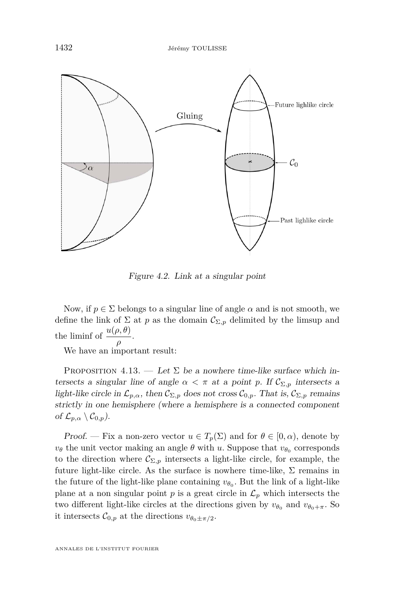

<span id="page-24-0"></span>Figure 4.2. Link at a singular point

Now, if  $p \in \Sigma$  belongs to a singular line of angle  $\alpha$  and is not smooth, we define the link of  $\Sigma$  at *p* as the domain  $\mathcal{C}_{\Sigma,p}$  delimited by the limsup and the liminf of  $\frac{u(\rho,\theta)}{\rho}$ .

We have an important result:

PROPOSITION 4.13. — Let  $\Sigma$  be a nowhere time-like surface which intersects a singular line of angle  $\alpha < \pi$  at a point *p*. If  $\mathcal{C}_{\Sigma,p}$  intersects a light-like circle in  $\mathcal{L}_{p,\alpha}$ , then  $\mathcal{C}_{\Sigma,p}$  does not cross  $\mathcal{C}_{0,p}$ . That is,  $\mathcal{C}_{\Sigma,p}$  remains strictly in one hemisphere (where a hemisphere is a connected component of  $\mathcal{L}_{p,\alpha} \setminus \mathcal{C}_{0,p}$ ).

Proof. — Fix a non-zero vector  $u \in T_p(\Sigma)$  and for  $\theta \in [0, \alpha)$ , denote by  $v_{\theta}$  the unit vector making an angle  $\theta$  with *u*. Suppose that  $v_{\theta_0}$  corresponds to the direction where  $\mathcal{C}_{\Sigma,p}$  intersects a light-like circle, for example, the future light-like circle. As the surface is nowhere time-like,  $\Sigma$  remains in the future of the light-like plane containing  $v_{\theta_0}$ . But the link of a light-like plane at a non singular point  $p$  is a great circle in  $\mathcal{L}_p$  which intersects the two different light-like circles at the directions given by  $v_{\theta_0}$  and  $v_{\theta_0+\pi}$ . So it intersects  $C_{0,p}$  at the directions  $v_{\theta_0 \pm \pi/2}$ .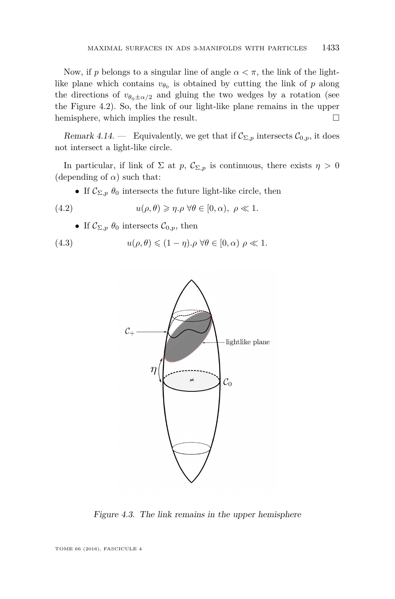Now, if *p* belongs to a singular line of angle  $\alpha < \pi$ , the link of the lightlike plane which contains  $v_{\theta_0}$  is obtained by cutting the link of *p* along the directions of  $v_{\theta_0 \pm \alpha/2}$  and gluing the two wedges by a rotation (see the Figure [4.2\)](#page-24-0). So, the link of our light-like plane remains in the upper hemisphere, which implies the result.  $\Box$ 

Remark 4.14. — Equivalently, we get that if  $\mathcal{C}_{\Sigma,p}$  intersects  $\mathcal{C}_{0,p}$ , it does not intersect a light-like circle.

In particular, if link of  $\Sigma$  at *p*,  $\mathcal{C}_{\Sigma,p}$  is continuous, there exists  $\eta > 0$ (depending of  $\alpha$ ) such that:

<span id="page-25-0"></span>• If  $\mathcal{C}_{\Sigma,p}$   $\theta_0$  intersects the future light-like circle, then

(4.2) 
$$
u(\rho,\theta) \geqslant \eta.\rho \,\forall \theta \in [0,\alpha), \ \rho \ll 1.
$$

• If  $\mathcal{C}_{\Sigma,p}$   $\theta_0$  intersects  $\mathcal{C}_{0,p}$ , then

(4.3) 
$$
u(\rho,\theta) \leq (1-\eta).\rho \,\forall \theta \in [0,\alpha) \,\rho \ll 1.
$$

<span id="page-25-1"></span>

Figure 4.3. The link remains in the upper hemisphere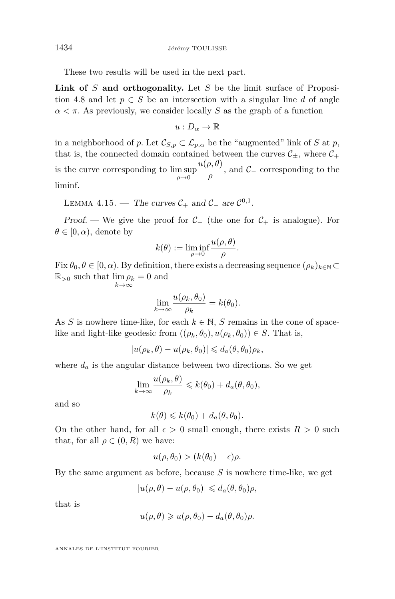These two results will be used in the next part.

**Link of** *S* **and orthogonality.** Let *S* be the limit surface of Proposi-tion [4.8](#page-20-0) and let  $p \in S$  be an intersection with a singular line *d* of angle  $\alpha < \pi$ . As previously, we consider locally *S* as the graph of a function

$$
u:D_\alpha\to\mathbb{R}
$$

in a neighborhood of *p*. Let  $\mathcal{C}_{S,p} \subset \mathcal{L}_{p,\alpha}$  be the "augmented" link of *S* at *p*, that is, the connected domain contained between the curves  $\mathcal{C}_+$ , where  $\mathcal{C}_+$ is the curve corresponding to  $\limsup_{\rho \to 0}$ *u*(*ρ, θ*)  $\frac{\partial}{\partial \rho}$ , and  $\mathcal{C}_-$  corresponding to the liminf.

LEMMA 4.15. — The curves  $C_+$  and  $C_-$  are  $C^{0,1}$ .

Proof. — We give the proof for  $\mathcal{C}_-$  (the one for  $\mathcal{C}_+$  is analogue). For  $\theta \in [0, \alpha)$ , denote by

$$
k(\theta) := \liminf_{\rho \to 0} \frac{u(\rho, \theta)}{\rho}.
$$

Fix  $\theta_0, \theta \in [0, \alpha)$ . By definition, there exists a decreasing sequence  $(\rho_k)_{k \in \mathbb{N}} \subset$  $\mathbb{R}_{>0}$  such that  $\lim \rho_k = 0$  and *k*→∞

$$
\lim_{k \to \infty} \frac{u(\rho_k, \theta_0)}{\rho_k} = k(\theta_0).
$$

As *S* is nowhere time-like, for each  $k \in \mathbb{N}$ , *S* remains in the cone of spacelike and light-like geodesic from  $((\rho_k, \theta_0), u(\rho_k, \theta_0)) \in S$ . That is,

$$
|u(\rho_k,\theta)-u(\rho_k,\theta_0)|\leqslant d_a(\theta,\theta_0)\rho_k,
$$

where  $d_a$  is the angular distance between two directions. So we get

$$
\lim_{k \to \infty} \frac{u(\rho_k, \theta)}{\rho_k} \leq k(\theta_0) + d_a(\theta, \theta_0),
$$

and so

$$
k(\theta) \leq k(\theta_0) + d_a(\theta, \theta_0).
$$

On the other hand, for all  $\epsilon > 0$  small enough, there exists  $R > 0$  such that, for all  $\rho \in (0, R)$  we have:

$$
u(\rho,\theta_0) > (k(\theta_0) - \epsilon)\rho.
$$

By the same argument as before, because *S* is nowhere time-like, we get

$$
|u(\rho, \theta) - u(\rho, \theta_0)| \leq d_a(\theta, \theta_0)\rho,
$$

that is

$$
u(\rho,\theta) \geqslant u(\rho,\theta_0) - d_a(\theta,\theta_0)\rho.
$$

ANNALES DE L'INSTITUT FOURIER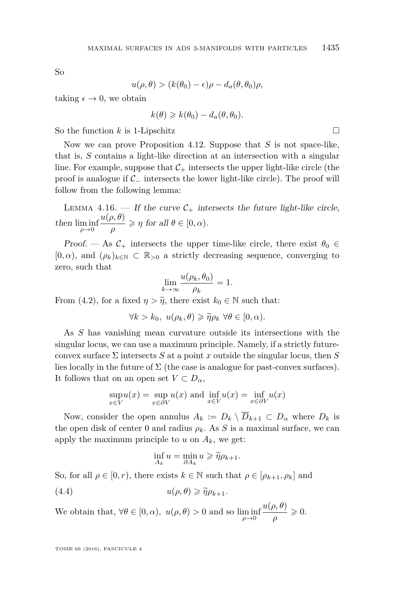So

$$
u(\rho,\theta) > (k(\theta_0) - \epsilon)\rho - d_a(\theta,\theta_0)\rho,
$$

taking  $\epsilon \to 0$ , we obtain

$$
k(\theta) \geq k(\theta_0) - d_a(\theta, \theta_0).
$$

So the function 
$$
k
$$
 is 1-Lipschitz  $\square$ 

Now we can prove Proposition [4.12.](#page-23-0) Suppose that *S* is not space-like, that is, *S* contains a light-like direction at an intersection with a singular line. For example, suppose that  $\mathcal{C}_+$  intersects the upper light-like circle (the proof is analogue if C<sup>−</sup> intersects the lower light-like circle). The proof will follow from the following lemma:

LEMMA 4.16. — If the curve  $C_+$  intersects the future light-like circle, then  $\liminf_{\rho \to 0}$ *u*(*ρ, θ*)  $\frac{\partial}{\partial \rho}$  > *η* for all  $\theta \in [0, \alpha)$ .

Proof. — As  $C_+$  intersects the upper time-like circle, there exist  $\theta_0 \in$  $[0, \alpha)$ , and  $(\rho_k)_{k \in \mathbb{N}} \subset \mathbb{R}_{>0}$  a strictly decreasing sequence, converging to zero, such that

$$
\lim_{k \to \infty} \frac{u(\rho_k, \theta_0)}{\rho_k} = 1.
$$

From [\(4.2\)](#page-25-0), for a fixed  $\eta > \tilde{\eta}$ , there exist  $k_0 \in \mathbb{N}$  such that:

 $\forall k > k_0, u(\rho_k, \theta) \geqslant \widetilde{\eta} \rho_k \ \forall \theta \in [0, \alpha).$ 

As *S* has vanishing mean curvature outside its intersections with the singular locus, we can use a maximum principle. Namely, if a strictly futureconvex surface Σ intersects *S* at a point *x* outside the singular locus, then *S* lies locally in the future of  $\Sigma$  (the case is analogue for past-convex surfaces). It follows that on an open set  $V \subset D_\alpha$ ,

$$
\sup_{x \in V} u(x) = \sup_{x \in \partial V} u(x) \text{ and } \inf_{x \in V} u(x) = \inf_{x \in \partial V} u(x)
$$

Now, consider the open annulus  $A_k := D_k \setminus \overline{D}_{k+1} \subset D_\alpha$  where  $D_k$  is the open disk of center 0 and radius  $\rho_k$ . As *S* is a maximal surface, we can apply the maximum principle to  $u$  on  $A_k$ , we get:

<span id="page-27-0"></span>
$$
\inf_{A_k} u = \min_{\partial A_k} u \geqslant \widetilde{\eta} \rho_{k+1}.
$$

So, for all  $\rho \in [0, r)$ , there exists  $k \in \mathbb{N}$  such that  $\rho \in [\rho_{k+1}, \rho_k]$  and (4.4)  $u(\rho, \theta) \geq \tilde{\eta} \rho_{k+1}.$ 

We obtain that,  $\forall \theta \in [0, \alpha)$ ,  $u(\rho, \theta) > 0$  and so  $\liminf_{\rho \to 0}$ *u*(*ρ, θ*)  $\frac{\partial}{\partial \rho}\frac{\partial}{\partial \rho}\geqslant 0.$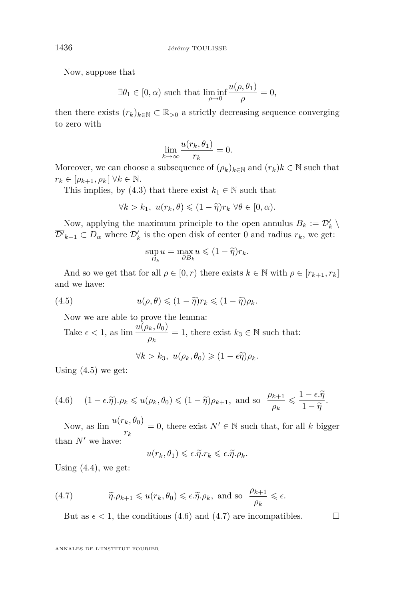Now, suppose that

$$
\exists \theta_1 \in [0, \alpha) \text{ such that } \liminf_{\rho \to 0} \frac{u(\rho, \theta_1)}{\rho} = 0,
$$

then there exists  $(r_k)_{k \in \mathbb{N}} \subset \mathbb{R}_{>0}$  a strictly decreasing sequence converging to zero with

$$
\lim_{k \to \infty} \frac{u(r_k, \theta_1)}{r_k} = 0.
$$

Moreover, we can choose a subsequence of  $(\rho_k)_{k \in \mathbb{N}}$  and  $(r_k)k \in \mathbb{N}$  such that  $r_k \in [\rho_{k+1}, \rho_k[ \ \forall k \in \mathbb{N}].$ 

This implies, by [\(4.3\)](#page-25-1) that there exist  $k_1 \in \mathbb{N}$  such that

$$
\forall k > k_1, \ u(r_k, \theta) \leq (1 - \tilde{\eta})r_k \ \forall \theta \in [0, \alpha).
$$

Now, applying the maximum principle to the open annulus  $B_k := \mathcal{D}'_k \setminus \mathcal{D}'_k$  $\overline{\mathcal{D}'}_{k+1} \subset D_\alpha$  where  $\mathcal{D}'_k$  is the open disk of center 0 and radius  $r_k$ , we get:

<span id="page-28-0"></span>
$$
\sup_{B_k} u = \max_{\partial B_k} u \leqslant (1 - \tilde{\eta}) r_k.
$$

And so we get that for all  $\rho \in [0, r)$  there exists  $k \in \mathbb{N}$  with  $\rho \in [r_{k+1}, r_k]$ and we have:

(4.5) 
$$
u(\rho,\theta) \leq (1-\tilde{\eta})r_k \leq (1-\tilde{\eta})\rho_k.
$$

Now we are able to prove the lemma:

Take  $\epsilon < 1$ , as  $\lim \frac{u(\rho_k, \theta_0)}{\rho_k} = 1$ , there exist  $k_3 \in \mathbb{N}$  such that:

 $\forall k > k_3, u(\rho_k, \theta_0) \geq (1 - \epsilon \widetilde{\eta}) \rho_k$ .

Using  $(4.5)$  we get:

<span id="page-28-1"></span>(4.6) 
$$
(1 - \epsilon \cdot \widetilde{\eta}) \cdot \rho_k \leq u(\rho_k, \theta_0) \leq (1 - \widetilde{\eta})\rho_{k+1}
$$
, and so  $\frac{\rho_{k+1}}{\rho_k} \leq \frac{1 - \epsilon \cdot \widetilde{\eta}}{1 - \widetilde{\eta}}$ .

Now, as  $\lim \frac{u(r_k, \theta_0)}{r_k} = 0$ , there exist  $N' \in \mathbb{N}$  such that, for all *k* bigger than  $N'$  we have:

$$
u(r_k, \theta_1) \leqslant \epsilon.\widetilde{\eta}.r_k \leqslant \epsilon.\widetilde{\eta}. \rho_k.
$$

Using  $(4.4)$ , we get:

(4.7) 
$$
\widetilde{\eta} \cdot \rho_{k+1} \leq u(r_k, \theta_0) \leq \epsilon \cdot \widetilde{\eta} \cdot \rho_k
$$
, and so  $\frac{\rho_{k+1}}{\rho_k} \leq \epsilon$ .

<span id="page-28-2"></span>But as  $\epsilon$  < 1, the conditions [\(4.6\)](#page-28-1) and [\(4.7\)](#page-28-2) are incompatibles.  $\Box$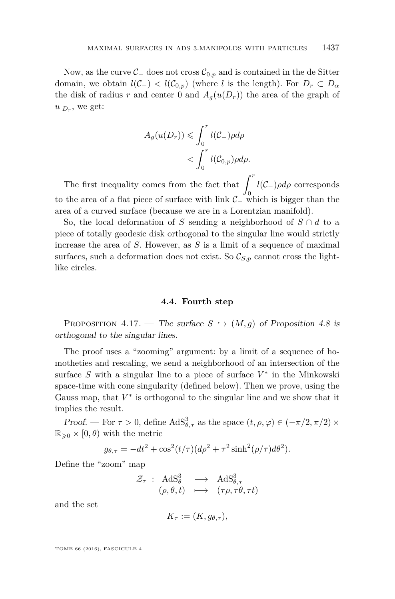Now, as the curve  $\mathcal{C}_-$  does not cross  $\mathcal{C}_{0,p}$  and is contained in the de Sitter domain, we obtain  $l(\mathcal{C}_-) < l(\mathcal{C}_{0,p})$  (where *l* is the length). For  $D_r \subset D_\alpha$ the disk of radius r and center 0 and  $A_q(u(D_r))$  the area of the graph of  $u_{|D_r}$ , we get:

$$
A_g(u(D_r)) \leqslant \int_0^r l(C_-)\rho d\rho
$$
  
< 
$$
< \int_0^r l(C_{0,p})\rho d\rho.
$$

The first inequality comes from the fact that  $\int_0^r$ 0 *l*(C−)*ρdρ* corresponds to the area of a flat piece of surface with link  $\mathcal{C}_-$  which is bigger than the area of a curved surface (because we are in a Lorentzian manifold).

So, the local deformation of *S* sending a neighborhood of  $S \cap d$  to a piece of totally geodesic disk orthogonal to the singular line would strictly increase the area of *S*. However, as *S* is a limit of a sequence of maximal surfaces, such a deformation does not exist. So  $\mathcal{C}_{S,n}$  cannot cross the lightlike circles.

#### **4.4. Fourth step**

<span id="page-29-0"></span>PROPOSITION 4.17. — The surface  $S \hookrightarrow (M, g)$  of Proposition [4.8](#page-20-0) is orthogonal to the singular lines.

The proof uses a "zooming" argument: by a limit of a sequence of homotheties and rescaling, we send a neighborhood of an intersection of the surface  $S$  with a singular line to a piece of surface  $V^*$  in the Minkowski space-time with cone singularity (defined below). Then we prove, using the Gauss map, that  $V^*$  is orthogonal to the singular line and we show that it implies the result.

Proof. — For  $\tau > 0$ , define  $\text{AdS}_{\theta,\tau}^3$  as the space  $(t, \rho, \varphi) \in (-\pi/2, \pi/2) \times$  $\mathbb{R}_{\geqslant 0} \times [0, \theta)$  with the metric

$$
g_{\theta,\tau} = -dt^2 + \cos^2(t/\tau)(d\rho^2 + \tau^2 \sinh^2(\rho/\tau)d\theta^2).
$$

Define the "zoom" map

$$
\mathcal{Z}_{\tau} : \operatorname{AdS}_{\theta}^{3} \longrightarrow \operatorname{AdS}_{\theta,\tau}^{3} \n(\rho, \theta, t) \longrightarrow (\tau \rho, \tau \theta, \tau t)
$$

and the set

$$
K_{\tau} := (K, g_{\theta, \tau}),
$$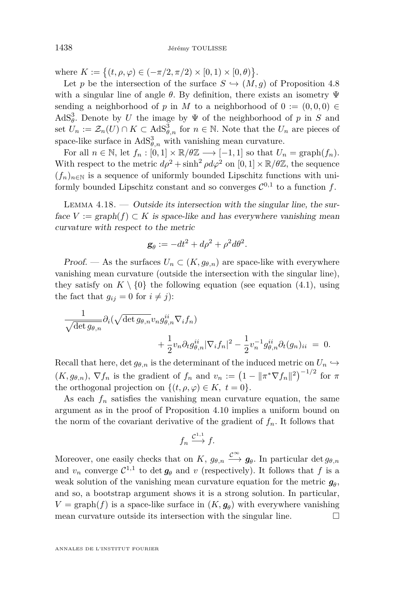where  $K := \{(t, \rho, \varphi) \in (-\pi/2, \pi/2) \times [0, 1) \times [0, \theta)\}.$ 

Let *p* be the intersection of the surface  $S \hookrightarrow (M, g)$  of Proposition [4.8](#page-20-0) with a singular line of angle  $\theta$ . By definition, there exists an isometry  $\Psi$ sending a neighborhood of *p* in *M* to a neighborhood of  $0 := (0,0,0) \in$ AdS<sup>3</sup><sub> $\theta$ </sub>. Denote by *U* the image by  $\Psi$  of the neighborhood of *p* in *S* and set  $U_n := \mathcal{Z}_n(U) \cap K \subset \text{AdS}_{\theta,n}^3$  for  $n \in \mathbb{N}$ . Note that the  $U_n$  are pieces of space-like surface in  $AdS^3_{\theta,n}$  with vanishing mean curvature.

For all  $n \in \mathbb{N}$ , let  $f_n : [0,1] \times \mathbb{R}/\theta\mathbb{Z} \longrightarrow [-1,1]$  so that  $U_n = \text{graph}(f_n)$ . With respect to the metric  $d\rho^2 + \sinh^2 \rho d\varphi^2$  on  $[0,1] \times \mathbb{R}/\theta \mathbb{Z}$ , the sequence  $(f_n)_{n\in\mathbb{N}}$  is a sequence of uniformly bounded Lipschitz functions with uniformly bounded Lipschitz constant and so converges  $\mathcal{C}^{0,1}$  to a function f.

<span id="page-30-0"></span>LEMMA  $4.18.$  — Outside its intersection with the singular line, the surface  $V := \text{graph}(f) \subset K$  is space-like and has everywhere vanishing mean curvature with respect to the metric

$$
\mathbf{g}_{\theta} := -dt^2 + d\rho^2 + \rho^2 d\theta^2.
$$

Proof. — As the surfaces  $U_n \subset (K, g_{\theta,n})$  are space-like with everywhere vanishing mean curvature (outside the intersection with the singular line), they satisfy on  $K \setminus \{0\}$  the following equation (see equation [\(4.1\)](#page-21-0), using the fact that  $g_{ij} = 0$  for  $i \neq j$ :

$$
\frac{1}{\sqrt{\det g_{\theta,n}}} \partial_i (\sqrt{\det g_{\theta,n}} v_n g_{\theta,n}^{ii} \nabla_i f_n) + \frac{1}{2} v_n \partial_t g_{\theta,n}^{ii} |\nabla_i f_n|^2 - \frac{1}{2} v_n^{-1} g_{\theta,n}^{ii} \partial_t (g_n)_{ii} = 0.
$$

Recall that here, det  $g_{\theta,n}$  is the determinant of the induced metric on  $U_n \hookrightarrow$  $(K, g_{\theta,n}), \nabla f_n$  is the gradient of  $f_n$  and  $v_n := (1 - ||\pi^* \nabla f_n||^2)^{-1/2}$  for  $\pi$ the orthogonal projection on  $\{(t, \rho, \varphi) \in K, t = 0\}.$ 

As each  $f_n$  satisfies the vanishing mean curvature equation, the same argument as in the proof of Proposition [4.10](#page-20-1) implies a uniform bound on the norm of the covariant derivative of the gradient of  $f_n$ . It follows that

$$
f_n \xrightarrow{\mathcal{C}^{1,1}} f.
$$

Moreover, one easily checks that on *K*,  $g_{\theta,n} \xrightarrow{C^{\infty}} g_{\theta}$ . In particular det  $g_{\theta,n}$ and  $v_n$  converge  $C^{1,1}$  to det  $g_\theta$  and  $v$  (respectively). It follows that  $f$  is a weak solution of the vanishing mean curvature equation for the metric  $g_{\theta}$ , and so, a bootstrap argument shows it is a strong solution. In particular,  $V = \text{graph}(f)$  is a space-like surface in  $(K, g_\theta)$  with everywhere vanishing mean curvature outside its intersection with the singular line.  $\Box$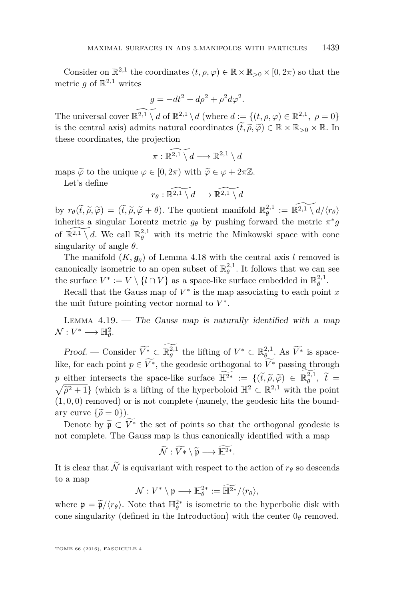Consider on  $\mathbb{R}^{2,1}$  the coordinates  $(t, \rho, \varphi) \in \mathbb{R} \times \mathbb{R}_{>0} \times [0, 2\pi)$  so that the metric  $g$  of  $\mathbb{R}^{2,1}$  writes

$$
g = -dt^2 + d\rho^2 + \rho^2 d\varphi^2.
$$

The universal cover  $\widetilde{\mathbb{R}^{2,1} \setminus d}$  of  $\mathbb{R}^{2,1} \setminus d$  (where  $d := \{(t, \rho, \varphi) \in \mathbb{R}^{2,1}, \ \rho = 0\}$ is the central axis) admits natural coordinates  $(\tilde{t}, \tilde{\rho}, \tilde{\varphi}) \in \mathbb{R} \times \mathbb{R}_{>0} \times \mathbb{R}$ . In these coordinates, the projection

$$
\pi: \widetilde{\mathbb{R}^{2,1} \setminus d} \longrightarrow \mathbb{R}^{2,1} \setminus d
$$

maps  $\widetilde{\varphi}$  to the unique  $\varphi \in [0, 2\pi)$  with  $\widetilde{\varphi} \in \varphi + 2\pi \mathbb{Z}$ .

Let's define

$$
r_{\theta}:\widetilde{\mathbb{R}^{2,1}\setminus d}\longrightarrow\widetilde{\mathbb{R}^{2,1}\setminus d}
$$

by  $r_{\theta}(\tilde{t}, \tilde{\rho}, \tilde{\varphi}) = (\tilde{t}, \tilde{\rho}, \tilde{\varphi} + \theta)$ . The quotient manifold  $\mathbb{R}_{\theta}^{2,1} := \widetilde{\mathbb{R}^{2,1} \setminus d}/\langle r_{\theta} \rangle$ <br>inherits a singular Larentz metric  $\tilde{\epsilon}$ , by pushing forward the metric  $\tilde{\epsilon}^*$ inherits a singular Lorentz metric  $g_{\theta}$  by pushing forward the metric  $\pi^* g$ of  $\widetilde{\mathbb{R}^{2,1} \setminus d}$ . We call  $\mathbb{R}_{\theta}^{2,1}$  with its metric the Minkowski space with cone singularity of angle *θ*.

The manifold  $(K, g_\theta)$  of Lemma [4.18](#page-30-0) with the central axis *l* removed is canonically isometric to an open subset of  $\mathbb{R}_{\theta}^{2,1}$ . It follows that we can see the surface  $V^* := V \setminus \{l \cap V\}$  as a space-like surface embedded in  $\mathbb{R}_{\theta}^{2,1}$ .

Recall that the Gauss map of  $V^*$  is the map associating to each point  $x$ the unit future pointing vector normal to  $V^*$ .

LEMMA  $4.19.$  — The Gauss map is naturally identified with a map  $\mathcal{N}: V^* \longrightarrow \mathbb{H}^2_\theta.$ 

*Proof.* — Consider  $\widetilde{V}^*_{\infty} \subset \mathbb{R}_{\theta}^{2,1}$  the lifting of  $V^* \subset \mathbb{R}_{\theta}^{2,1}$ . As  $\widetilde{V^*}$  is spacelike, for each point  $p \in \widetilde{V}^*$ , the geodesic orthogonal to  $\widetilde{V}^*$  passing through *p* either intersects the space-like surface  $\mathbb{H}^{2*} := \{(\tilde{t}, \tilde{\rho}, \tilde{\varphi}) \in \mathbb{R}^{2,1}_{\theta}$ <br> $\sqrt{z^2+1}$  (which is a lifting of the happenhalpid  $\mathbb{H}^2 \subset \mathbb{R}^{2,1}$  with the p either intersects the space-like surface  $\mathbb{H}^{2*} := \{(t, \tilde{\rho}, \tilde{\varphi}) \in \mathbb{R}_{\theta}^{\times, 1}, t = \sqrt{\tilde{\rho}^2 + 1}\}\$  (which is a lifting of the hyperboloid  $\mathbb{H}^2 \subset \mathbb{R}^{2,1}$  with the point  $\overline{\hat{\rho}^2 + 1}$  (which is a lifting of the hyperboloid  $\mathbb{H}^2 \subset \mathbb{R}^{2,1}$  with the point  $(0,0)$  remained is not complete (pamely the goodesip life the hound  $(1,0,0)$  removed) or is not complete (namely, the geodesic hits the boundary curve  $\{\tilde{\rho} = 0\}$ ).

Denote by  $\widetilde{\mathfrak{p}} \subset \widetilde{V}^*$  the set of points so that the orthogonal geodesic is not complete. The Gauss map is thus canonically identified with a map

$$
\widetilde{\mathcal{N}}:\widetilde{V*}\setminus \widetilde{\mathfrak{p}}\longrightarrow \widetilde{\mathbb{H}^{2*}}.
$$

It is clear that  $\widetilde{\mathcal{N}}$  is equivariant with respect to the action of  $r_{\theta}$  so descends to a map

$$
\mathcal{N}: V^* \setminus \mathfrak{p} \longrightarrow \mathbb{H}_{\theta}^{2*} := \mathbb{H}^{2*} / \langle r_{\theta} \rangle,
$$

where  $\mathfrak{p} = \widetilde{\mathfrak{p}}/\langle r_{\theta} \rangle$ . Note that  $\mathbb{H}_{\theta}^{2*}$  is isometric to the hyperbolic disk with cone singularity (defined in the Introduction) with the center  $0<sub>\theta</sub>$  removed.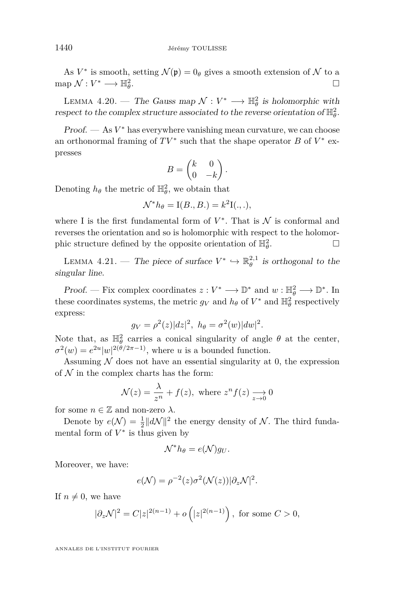As  $V^*$  is smooth, setting  $\mathcal{N}(\mathfrak{p}) = 0_\theta$  gives a smooth extension of  $\mathcal N$  to a  $map \mathcal{N}: V^* \longrightarrow \mathbb{H}^2_\theta$ *.*

LEMMA 4.20. — The Gauss map  $\mathcal{N}: V^* \longrightarrow \mathbb{H}_{\theta}^2$  is holomorphic with respect to the complex structure associated to the reverse orientation of  $\mathbb{H}^2_{\theta}$ .

Proof. — As  $V^*$  has everywhere vanishing mean curvature, we can choose an orthonormal framing of  $TV^*$  such that the shape operator  $B$  of  $V^*$  expresses

$$
B = \begin{pmatrix} k & 0 \\ 0 & -k \end{pmatrix}.
$$

Denoting  $h_{\theta}$  the metric of  $\mathbb{H}_{\theta}^2$ , we obtain that

$$
\mathcal{N}^* h_\theta = I(B., B.) = k^2 I(.,.),
$$

where I is the first fundamental form of  $V^*$ . That is  $\mathcal N$  is conformal and reverses the orientation and so is holomorphic with respect to the holomorphic structure defined by the opposite orientation of  $\mathbb{H}_{\theta}^2$ . — Первый профессиональный стандарт и профессиональный стандарт и профессиональный стандарт и профессиональны<br>В собстановки профессиональный стандарт и профессиональный стандарт и профессиональный стандарт и профессионал

LEMMA 4.21. — The piece of surface  $V^* \hookrightarrow \mathbb{R}_{\theta}^{2,1}$  is orthogonal to the singular line.

*Proof.* — Fix complex coordinates  $z: V^* \longrightarrow \mathbb{D}^*$  and  $w: \mathbb{H}_{\theta}^2 \longrightarrow \mathbb{D}^*$ . In these coordinates systems, the metric  $g_V$  and  $h_\theta$  of  $V^*$  and  $\mathbb{H}^2_\theta$  respectively express:

$$
g_V = \rho^2(z)|dz|^2, h_\theta = \sigma^2(w)|dw|^2.
$$

Note that, as  $\mathbb{H}_{\theta}^2$  carries a conical singularity of angle  $\theta$  at the center,  $\sigma^2(w) = e^{2u} |w|^{2(\theta/2\pi - 1)}$ , where *u* is a bounded function.

Assuming  $\mathcal N$  does not have an essential singularity at 0, the expression of  $N$  in the complex charts has the form:

$$
\mathcal{N}(z) = \frac{\lambda}{z^n} + f(z), \text{ where } z^n f(z) \xrightarrow[z \to 0]{} 0
$$

for some  $n \in \mathbb{Z}$  and non-zero  $\lambda$ .

Denote by  $e(\mathcal{N}) = \frac{1}{2} ||d\mathcal{N}||^2$  the energy density of  $\mathcal{N}$ . The third fundamental form of  $V^*$  is thus given by

$$
\mathcal{N}^* h_{\theta} = e(\mathcal{N}) g_U.
$$

Moreover, we have:

$$
e(\mathcal{N}) = \rho^{-2}(z)\sigma^2(\mathcal{N}(z))|\partial_z\mathcal{N}|^2.
$$

If  $n \neq 0$ , we have

$$
|\partial_z \mathcal{N}|^2 = C|z|^{2(n-1)} + o(|z|^{2(n-1)}),
$$
 for some  $C > 0$ ,

ANNALES DE L'INSTITUT FOURIER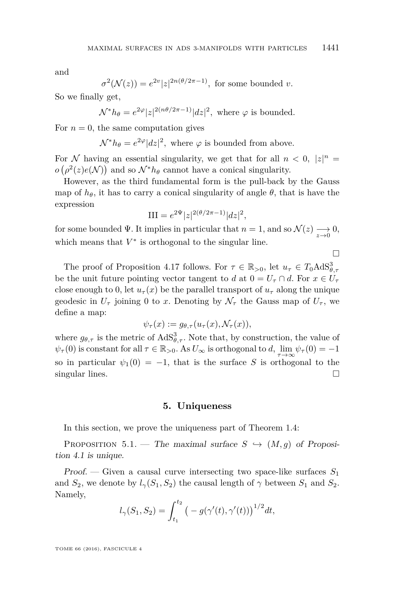and

$$
\sigma^{2}(\mathcal{N}(z)) = e^{2v}|z|^{2n(\theta/2\pi - 1)},
$$
 for some bounded v.

So we finally get,

$$
\mathcal{N}^* h_{\theta} = e^{2\varphi} |z|^{2(n\theta/2\pi - 1)} |dz|^2
$$
, where  $\varphi$  is bounded.

For  $n = 0$ , the same computation gives

 $\mathcal{N}^* h_{\theta} = e^{2\varphi} |dz|^2$ , where  $\varphi$  is bounded from above.

For N having an essential singularity, we get that for all  $n < 0$ ,  $|z|^n =$  $o(\rho^2(z)e(N))$  and so  $\mathcal{N}^*h_{\theta}$  cannot have a conical singularity.

However, as the third fundamental form is the pull-back by the Gauss map of  $h_{\theta}$ , it has to carry a conical singularity of angle  $\theta$ , that is have the expression

$$
III = e^{2\Psi} |z|^{2(\theta/2\pi - 1)} |dz|^2,
$$

for some bounded  $\Psi$ . It implies in particular that  $n = 1$ , and so  $\mathcal{N}(z) \longrightarrow 0$ , which means that  $V^*$  is orthogonal to the singular line.

 $\Box$ 

The proof of Proposition [4.17](#page-29-0) follows. For  $\tau \in \mathbb{R}_{>0}$ , let  $u_{\tau} \in T_0 \text{AdS}_{\theta, \tau}^3$ be the unit future pointing vector tangent to *d* at  $0 = U_\tau \cap d$ . For  $x \in U_\tau$ close enough to 0, let  $u_\tau(x)$  be the parallel transport of  $u_\tau$  along the unique geodesic in  $U_{\tau}$  joining 0 to *x*. Denoting by  $\mathcal{N}_{\tau}$  the Gauss map of  $U_{\tau}$ , we define a map:

$$
\psi_{\tau}(x) := g_{\theta,\tau}(u_{\tau}(x), \mathcal{N}_{\tau}(x)),
$$

where  $g_{\theta,\tau}$  is the metric of  $AdS^3_{\theta,\tau}$ . Note that, by construction, the value of  $\psi_{\tau}(0)$  is constant for all  $\tau \in \mathbb{R}_{>0}$ . As  $U_{\infty}$  is orthogonal to *d*,  $\lim_{\tau \to \infty} \psi_{\tau}(0) = -1$ so in particular  $\psi_1(0) = -1$ , that is the surface *S* is orthogonal to the singular lines.  $\Box$ 

#### **5. Uniqueness**

In this section, we prove the uniqueness part of Theorem [1.4:](#page-4-0)

PROPOSITION 5.1. — The maximal surface  $S \hookrightarrow (M, g)$  of Proposition [4.1](#page-16-0) is unique.

Proof. — Given a causal curve intersecting two space-like surfaces *S*<sup>1</sup> and  $S_2$ , we denote by  $l_\gamma(S_1, S_2)$  the causal length of  $\gamma$  between  $S_1$  and  $S_2$ . Namely,

$$
l_{\gamma}(S_1, S_2) = \int_{t_1}^{t_2} \left( -g(\gamma'(t), \gamma'(t)) \right)^{1/2} dt,
$$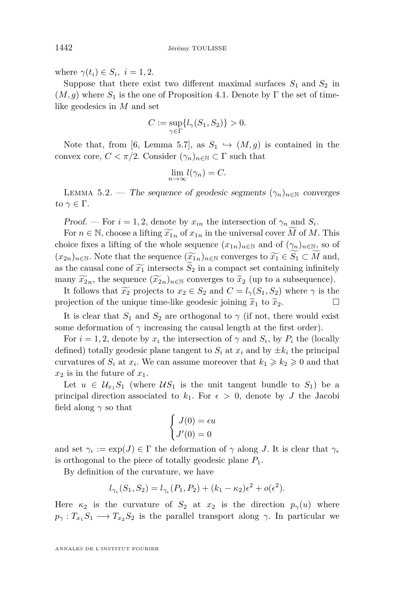where  $\gamma(t_i) \in S_i$ ,  $i = 1, 2$ .

Suppose that there exist two different maximal surfaces  $S_1$  and  $S_2$  in  $(M, g)$  where  $S_1$  is the one of Proposition [4.1.](#page-16-0) Denote by  $\Gamma$  the set of timelike geodesics in *M* and set

$$
C:=\sup_{\gamma\in\Gamma}\{l_\gamma(S_1,S_2)\}>0.
$$

Note that, from [\[6,](#page-40-9) Lemma 5.7], as  $S_1 \hookrightarrow (M,g)$  is contained in the convex core,  $C < \pi/2$ . Consider  $(\gamma_n)_{n \in \mathbb{N}} \subset \Gamma$  such that

$$
\lim_{n \to \infty} l(\gamma_n) = C.
$$

LEMMA 5.2. — The sequence of geodesic segments  $(\gamma_n)_{n\in\mathbb{N}}$  converges to  $\gamma \in \Gamma$ .

Proof. — For  $i = 1, 2$ , denote by  $x_{in}$  the intersection of  $\gamma_n$  and  $S_i$ .

For  $n \in \mathbb{N}$ , choose a lifting  $\widetilde{x}_{1n}$  of  $x_{1n}$  in the universal cover *M* of *M*. This choice fixes a lifting of the whole sequence  $(x_{1n})_{n\in\mathbb{N}}$  and of  $(\gamma_n)_{n\in\mathbb{N}}$ , so of  $(x_{2n})_{n\in\mathbb{N}}$ . Note that the sequence  $(\widetilde{x}_{1n})_{n\in\mathbb{N}}$  converges to  $\widetilde{x}_1 \in \widetilde{S}_1 \subset \widetilde{M}$  and, as the causal cone of  $\widetilde{x_1}$  intersects  $S_2$  in a compact set containing infinitely many  $\widetilde{x}_{2n}$ , the sequence  $(\widetilde{x}_{2n})_{n\in\mathbb{N}}$  converges to  $\widetilde{x}_2$  (up to a subsequence).

It follows that  $\widetilde{x_2}$  projects to  $x_2 \in S_2$  and  $C = l_{\gamma}(S_1, S_2)$  where  $\gamma$  is the ojection of the unique time-like geodesic joining  $\widetilde{x}_1$  to  $\widetilde{x}_2$ . projection of the unique time-like geodesic joining  $\tilde{x}_1$  to  $\tilde{x}_2$ .

It is clear that  $S_1$  and  $S_2$  are orthogonal to  $\gamma$  (if not, there would exist some deformation of  $\gamma$  increasing the causal length at the first order).

For  $i = 1, 2$ , denote by  $x_i$  the intersection of  $\gamma$  and  $S_i$ , by  $P_i$  the (locally defined) totally geodesic plane tangent to  $S_i$  at  $x_i$  and by  $\pm k_i$  the principal curvatures of  $S_i$  at  $x_i$ . We can assume moreover that  $k_1 \geq k_2 \geq 0$  and that  $x_2$  is in the future of  $x_1$ .

Let  $u \in \mathcal{U}_{x_1} S_1$  (where  $\mathcal{U} S_1$  is the unit tangent bundle to  $S_1$ ) be a principal direction associated to  $k_1$ . For  $\epsilon > 0$ , denote by *J* the Jacobi field along  $\gamma$  so that

$$
\begin{cases}\nJ(0) = \epsilon u \\
J'(0) = 0\n\end{cases}
$$

and set  $\gamma_{\epsilon} := \exp(J) \in \Gamma$  the deformation of  $\gamma$  along *J*. It is clear that  $\gamma_{\epsilon}$ is orthogonal to the piece of totally geodesic plane *P*1.

By definition of the curvature, we have

$$
l_{\gamma_{\epsilon}}(S_1, S_2) = l_{\gamma_{\epsilon}}(P_1, P_2) + (k_1 - \kappa_2)\epsilon^2 + o(\epsilon^2).
$$

Here  $\kappa_2$  is the curvature of  $S_2$  at  $x_2$  is the direction  $p_\gamma(u)$  where  $p_{\gamma}: T_{x_1}S_1 \longrightarrow T_{x_2}S_2$  is the parallel transport along  $\gamma$ . In particular we

ANNALES DE L'INSTITUT FOURIER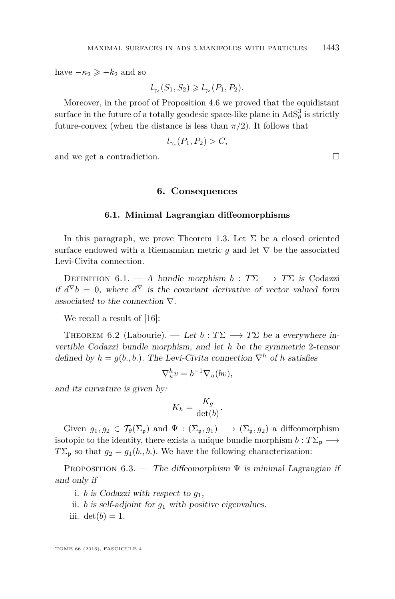have  $-\kappa_2 \geqslant -k_2$  and so

$$
l_{\gamma_{\epsilon}}(S_1, S_2) \geqslant l_{\gamma_{\epsilon}}(P_1, P_2).
$$

Moreover, in the proof of Proposition [4.6](#page-18-0) we proved that the equidistant surface in the future of a totally geodesic space-like plane in  $AdS^3_\theta$  is strictly future-convex (when the distance is less than  $\pi/2$ ). It follows that

$$
l_{\gamma_{\epsilon}}(P_1, P_2) > C,
$$

and we get a contradiction.

#### **6. Consequences**

#### **6.1. Minimal Lagrangian diffeomorphisms**

In this paragraph, we prove Theorem [1.3.](#page-3-0) Let  $\Sigma$  be a closed oriented surface endowed with a Riemannian metric  $g$  and let  $\nabla$  be the associated Levi-Civita connection.

DEFINITION  $6.1. - A$  bundle morphism  $b : T\Sigma \longrightarrow T\Sigma$  is Codazzi if  $d^{\nabla} b = 0$ , where  $d^{\nabla}$  is the covariant derivative of vector valued form associated to the connection  $\nabla$ .

We recall a result of [\[16\]](#page-40-1):

<span id="page-35-1"></span>THEOREM 6.2 (Labourie). — Let  $b: T\Sigma \longrightarrow T\Sigma$  be a everywhere invertible Codazzi bundle morphism, and let *h* be the symmetric 2-tensor defined by  $h = g(b_1, b_1)$ . The Levi-Civita connection  $\nabla^h$  of *h* satisfies

$$
\nabla_u^h v = b^{-1} \nabla_u (bv),
$$

and its curvature is given by:

$$
K_h = \frac{K_g}{\det(b)}.
$$

Given  $g_1, g_2 \in \mathcal{T}_{\theta}(\Sigma_{\mathfrak{p}})$  and  $\Psi : (\Sigma_{\mathfrak{p}}, g_1) \longrightarrow (\Sigma_{\mathfrak{p}}, g_2)$  a diffeomorphism isotopic to the identity, there exists a unique bundle morphism  $b : T\Sigma_{\mathfrak{p}} \longrightarrow$  $T\Sigma_{\mathfrak{p}}$  so that  $g_2 = g_1(b_1, b_1)$ . We have the following characterization:

<span id="page-35-0"></span>PROPOSITION  $6.3.$  — The diffeomorphism  $\Psi$  is minimal Lagrangian if and only if

- i. *b* is Codazzi with respect to *g*1,
- ii. *b* is self-adjoint for *g*<sup>1</sup> with positive eigenvalues.
- iii.  $\det(b) = 1$ .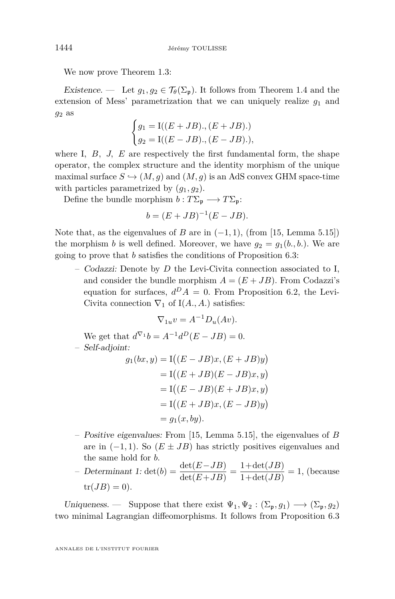We now prove Theorem [1.3:](#page-3-0)

Existence. — Let  $g_1, g_2 \in \mathcal{T}_{\theta}(\Sigma_{\mathbf{p}})$ . It follows from Theorem [1.4](#page-4-0) and the extension of Mess' parametrization that we can uniquely realize  $g_1$  and *g*<sup>2</sup> as

$$
\begin{cases} g_1 = \text{I}((E + JB), (E + JB).) \\ g_2 = \text{I}((E - JB), (E - JB).), \end{cases}
$$

where I,  $B$ ,  $J$ ,  $E$  are respectively the first fundamental form, the shape operator, the complex structure and the identity morphism of the unique maximal surface  $S \hookrightarrow (M, g)$  and  $(M, g)$  is an AdS convex GHM space-time with particles parametrized by  $(g_1, g_2)$ .

Define the bundle morphism  $b: T\Sigma_{\mathfrak{p}} \longrightarrow T\Sigma_{\mathfrak{p}}$ :

$$
b = (E + JB)^{-1}(E - JB).
$$

Note that, as the eigenvalues of *B* are in  $(-1, 1)$ , (from [\[15,](#page-40-12) Lemma 5.15]) the morphism *b* is well defined. Moreover, we have  $q_2 = q_1(b_1, b_2)$ . We are going to prove that *b* satisfies the conditions of Proposition [6.3:](#page-35-0)

– Codazzi: Denote by *D* the Levi-Civita connection associated to I, and consider the bundle morphism  $A = (E + JB)$ . From Codazzi's equation for surfaces,  $d^D A = 0$ . From Proposition [6.2,](#page-35-1) the Levi-Civita connection  $\nabla_1$  of I(*A., A.*) satisfies:

$$
\nabla_{1u}v = A^{-1}D_u(Av).
$$

We get that  $d^{\nabla_1}b = A^{-1}d^D(E - JB) = 0.$ 

– Self-adjoint:

$$
g_1(bx, y) = I((E - JB)x, (E + JB)y)
$$
  
= I((E + JB)(E - JB)x, y)  
= I((E - JB)(E + JB)x, y)  
= I((E + JB)x, (E - JB)y)  
= g\_1(x, by).

– Positive eigenvalues: From [\[15,](#page-40-12) Lemma 5.15], the eigenvalues of *B* are in  $(-1, 1)$ . So  $(E \pm JB)$  has strictly positives eigenvalues and the same hold for *b*.

– Determinant 1: det(*b*) =  $\frac{\det(E - JB)}{\det(E + JB)} = \frac{1 + \det(JB)}{1 + \det(JB)}$  $\frac{1+\alpha\epsilon(\sqrt{2B})}{1+\det(JB)}=1,$  (because  $tr(JB) = 0$ ).

Uniqueness. — Suppose that there exist  $\Psi_1, \Psi_2 : (\Sigma_{\mathfrak{p}}, g_1) \longrightarrow (\Sigma_{\mathfrak{p}}, g_2)$ two minimal Lagrangian diffeomorphisms. It follows from Proposition [6.3](#page-35-0)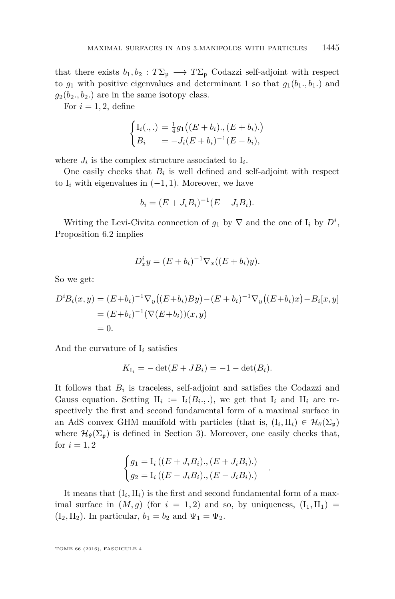that there exists  $b_1, b_2 : T\Sigma_p \longrightarrow T\Sigma_p$  Codazzi self-adjoint with respect to  $g_1$  with positive eigenvalues and determinant 1 so that  $g_1(b_1, b_1)$  and  $g_2(b_2, b_2)$  are in the same isotopy class.

For  $i = 1, 2$ , define

$$
\begin{cases}\nI_i(.,.) = \frac{1}{4}g_1((E + b_i), (E + b_i).)\nB_i = -J_i(E + b_i)^{-1}(E - b_i),\n\end{cases}
$$

where  $J_i$  is the complex structure associated to  $I_i$ .

One easily checks that  $B_i$  is well defined and self-adjoint with respect to  $I_i$  with eigenvalues in  $(-1, 1)$ . Moreover, we have

$$
b_i = (E + J_i B_i)^{-1} (E - J_i B_i).
$$

Writing the Levi-Civita connection of  $g_1$  by  $\nabla$  and the one of  $I_i$  by  $D^i$ , Proposition [6.2](#page-35-1) implies

$$
D_x^i y = (E + b_i)^{-1} \nabla_x ((E + b_i) y).
$$

So we get:

$$
D^i B_i(x, y) = (E + b_i)^{-1} \nabla_y ((E + b_i) B y) - (E + b_i)^{-1} \nabla_y ((E + b_i) x) - B_i [x, y]
$$
  
=  $(E + b_i)^{-1} (\nabla (E + b_i)) (x, y)$   
= 0.

And the curvature of  $I_i$  satisfies

$$
K_{I_i} = -\det(E + JB_i) = -1 - \det(B_i).
$$

It follows that  $B_i$  is traceless, self-adjoint and satisfies the Codazzi and Gauss equation. Setting  $II_i := I_i(B_i, .),$  we get that  $I_i$  and  $II_i$  are respectively the first and second fundamental form of a maximal surface in an AdS convex GHM manifold with particles (that is,  $(I_i, II_i) \in \mathcal{H}_{\theta}(\Sigma_{\mathfrak{p}})$ where  $\mathcal{H}_{\theta}(\Sigma_{\mathfrak{p}})$  is defined in Section [3\)](#page-9-0). Moreover, one easily checks that, for  $i = 1, 2$ 

$$
\begin{cases} g_1 = I_i \left( (E + J_i B_i) \cdot (E + J_i B_i) \cdot \right) \\ g_2 = I_i \left( (E - J_i B_i) \cdot (E - J_i B_i) \cdot \right) \end{cases}
$$

*.*

It means that  $(I_i, II_i)$  is the first and second fundamental form of a maximal surface in  $(M, g)$  (for  $i = 1, 2$ ) and so, by uniqueness,  $(I_1, II_1)$  =  $(I_2, II_2)$ . In particular,  $b_1 = b_2$  and  $\Psi_1 = \Psi_2$ .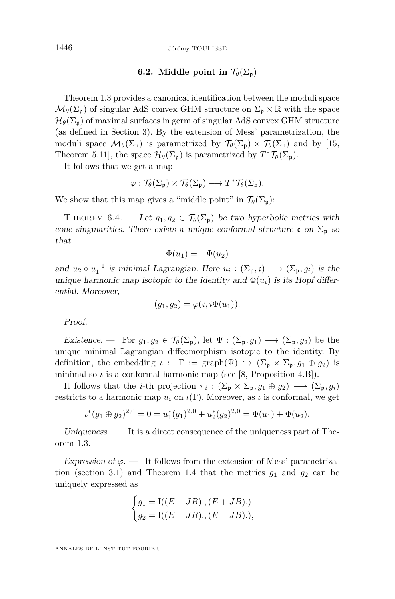#### **6.2.** Middle point in  $\mathcal{T}_{\theta}(\Sigma_{\mathfrak{p}})$

Theorem [1.3](#page-3-0) provides a canonical identification between the moduli space  $\mathcal{M}_{\theta}(\Sigma_{\mathfrak{p}})$  of singular AdS convex GHM structure on  $\Sigma_{\mathfrak{p}} \times \mathbb{R}$  with the space  $\mathcal{H}_{\theta}(\Sigma_{p})$  of maximal surfaces in germ of singular AdS convex GHM structure (as defined in Section [3\)](#page-9-0). By the extension of Mess' parametrization, the moduli space  $\mathcal{M}_{\theta}(\Sigma_{\mathfrak{p}})$  is parametrized by  $\mathcal{T}_{\theta}(\Sigma_{\mathfrak{p}}) \times \mathcal{T}_{\theta}(\Sigma_{\mathfrak{p}})$  and by [\[15,](#page-40-12) Theorem 5.11], the space  $\mathcal{H}_{\theta}(\Sigma_{\mathfrak{p}})$  is parametrized by  $T^*\mathcal{T}_{\theta}(\Sigma_{\mathfrak{p}})$ .

It follows that we get a map

$$
\varphi: \mathcal{T}_{\theta}(\Sigma_{\mathfrak{p}}) \times \mathcal{T}_{\theta}(\Sigma_{\mathfrak{p}}) \longrightarrow T^* \mathcal{T}_{\theta}(\Sigma_{\mathfrak{p}}).
$$

We show that this map gives a "middle point" in  $\mathcal{T}_{\theta}(\Sigma_n)$ :

<span id="page-38-0"></span>THEOREM 6.4. — Let  $g_1, g_2 \in \mathcal{T}_{\theta}(\Sigma_{\mathfrak{p}})$  be two hyperbolic metrics with cone singularities. There exists a unique conformal structure c on  $\Sigma_p$  so that

$$
\Phi(u_1) = -\Phi(u_2)
$$

and  $u_2 \circ u_1^{-1}$  is minimal Lagrangian. Here  $u_i : (\Sigma_{\mathfrak{p}}, \mathfrak{c}) \longrightarrow (\Sigma_{\mathfrak{p}}, g_i)$  is the unique harmonic map isotopic to the identity and  $\Phi(u_i)$  is its Hopf differential. Moreover,

$$
(g_1, g_2) = \varphi(\mathfrak{c}, i\Phi(u_1)).
$$

Proof.

Existence. — For  $g_1, g_2 \in \mathcal{T}_{\theta}(\Sigma_{\mathfrak{p}})$ , let  $\Psi : (\Sigma_{\mathfrak{p}}, g_1) \longrightarrow (\Sigma_{\mathfrak{p}}, g_2)$  be the unique minimal Lagrangian diffeomorphism isotopic to the identity. By definition, the embedding  $\iota : \Gamma := \text{graph}(\Psi) \hookrightarrow (\Sigma_{\mathfrak{p}} \times \Sigma_{\mathfrak{p}}, g_1 \oplus g_2)$  is minimal so  $\iota$  is a conformal harmonic map (see [\[8,](#page-40-2) Proposition 4.B]).

It follows that the *i*-th projection  $\pi_i : (\Sigma_{\mathfrak{p}} \times \Sigma_{\mathfrak{p}}, g_1 \oplus g_2) \longrightarrow (\Sigma_{\mathfrak{p}}, g_i)$ restricts to a harmonic map  $u_i$  on  $\iota(\Gamma)$ . Moreover, as  $\iota$  is conformal, we get

$$
\iota^*(g_1 \oplus g_2)^{2,0} = 0 = u_1^*(g_1)^{2,0} + u_2^*(g_2)^{2,0} = \Phi(u_1) + \Phi(u_2).
$$

Uniqueness. — It is a direct consequence of the uniqueness part of Theorem [1.3.](#page-3-0)

Expression of  $\varphi$ . — It follows from the extension of Mess' parametriza-tion (section [3.1\)](#page-9-1) and Theorem [1.4](#page-4-0) that the metrics  $g_1$  and  $g_2$  can be uniquely expressed as

$$
\begin{cases}\ng_1 = \text{I}((E + JB), (E + JB).) \\
g_2 = \text{I}((E - JB), (E - JB).),\n\end{cases}
$$

ANNALES DE L'INSTITUT FOURIER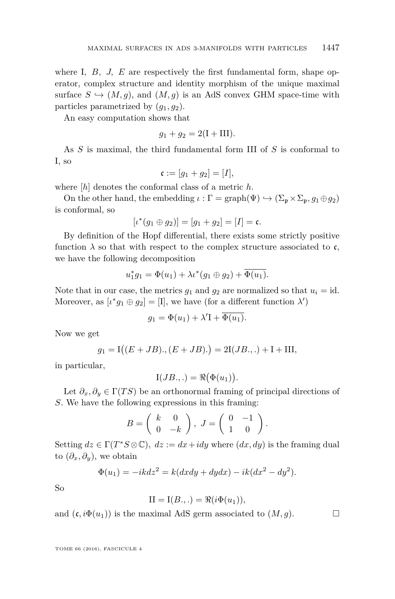where I, B, J, E are respectively the first fundamental form, shape operator, complex structure and identity morphism of the unique maximal surface  $S \hookrightarrow (M, g)$ , and  $(M, g)$  is an AdS convex GHM space-time with particles parametrized by  $(q_1, q_2)$ .

An easy computation shows that

$$
g_1 + g_2 = 2(I + III).
$$

As *S* is maximal, the third fundamental form III of *S* is conformal to I, so

$$
\mathfrak{c} := [g_1 + g_2] = [I],
$$

where [*h*] denotes the conformal class of a metric *h*.

On the other hand, the embedding  $\iota : \Gamma = \text{graph}(\Psi) \hookrightarrow (\Sigma_{\mathfrak{p}} \times \Sigma_{\mathfrak{p}}, g_1 \oplus g_2)$ is conformal, so

$$
[\iota^*(g_1 \oplus g_2)] = [g_1 + g_2] = [I] = \mathfrak{c}.
$$

By definition of the Hopf differential, there exists some strictly positive function  $\lambda$  so that with respect to the complex structure associated to c, we have the following decomposition

$$
u_1^*g_1 = \Phi(u_1) + \lambda \iota^*(g_1 \oplus g_2) + \overline{\Phi(u_1)}.
$$

Note that in our case, the metrics  $g_1$  and  $g_2$  are normalized so that  $u_i = id$ . Moreover, as  $[\iota^* g_1 \oplus g_2] = [\mathbf{I}]$ , we have (for a different function  $\lambda'$ )

$$
g_1 = \Phi(u_1) + \lambda' I + \overline{\Phi(u_1)}.
$$

Now we get

$$
g_1 = I((E + JB), (E + JB).) = 2I(JB.,.) + I + III,
$$

in particular,

$$
I(JB.,.) = \Re(\Phi(u_1)).
$$

Let  $\partial_x, \partial_y \in \Gamma(TS)$  be an orthonormal framing of principal directions of *S*. We have the following expressions in this framing:

$$
B = \left(\begin{array}{cc} k & 0 \\ 0 & -k \end{array}\right), J = \left(\begin{array}{cc} 0 & -1 \\ 1 & 0 \end{array}\right).
$$

Setting  $dz \in \Gamma(T^*S \otimes \mathbb{C})$ ,  $dz := dx + idy$  where  $(dx, dy)$  is the framing dual to  $(\partial_x, \partial_y)$ , we obtain

$$
\Phi(u_1) = -ikdz^2 = k(dxdy + dydx) - ik(dx^2 - dy^2).
$$

So

$$
II = I(B.,.) = \Re(i\Phi(u_1)),
$$

and  $(c, i\Phi(u_1))$  is the maximal AdS germ associated to  $(M, g)$ .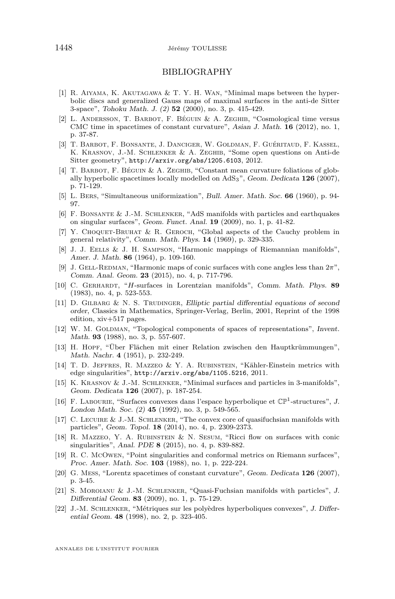#### BIBLIOGRAPHY

- <span id="page-40-8"></span>[1] R. Aiyama, K. Akutagawa & T. Y. H. Wan, "Minimal maps between the hyperbolic discs and generalized Gauss maps of maximal surfaces in the anti-de Sitter 3-space", Tohoku Math. J. (2) **52** (2000), no. 3, p. 415-429.
- <span id="page-40-20"></span>[2] L. Andersson, T. Barbot, F. Béguin & A. Zeghib, "Cosmological time versus CMC time in spacetimes of constant curvature", Asian J. Math. **16** (2012), no. 1, p. 37-87.
- <span id="page-40-4"></span>[3] T. Barbot, F. Bonsante, J. Danciger, W. Goldman, F. Guéritaud, F. Kassel, K. Krasnov, J.-M. Schlenker & A. Zeghib, "Some open questions on Anti-de Sitter geometry", <http://arxiv.org/abs/1205.6103>, 2012.
- <span id="page-40-7"></span>[4] T. BARBOT, F. BÉGUIN & A. ZEGHIB, "Constant mean curvature foliations of globally hyperbolic spacetimes locally modelled on AdS3", Geom. Dedicata **126** (2007), p. 71-129.
- <span id="page-40-6"></span>[5] L. Bers, "Simultaneous uniformization", Bull. Amer. Math. Soc. **66** (1960), p. 94- 97.
- <span id="page-40-9"></span>[6] F. Bonsante & J.-M. Schlenker, "AdS manifolds with particles and earthquakes on singular surfaces", Geom. Funct. Anal. **19** (2009), no. 1, p. 41-82.
- <span id="page-40-11"></span>[7] Y. CHOQUET-BRUHAT & R. GEROCH, "Global aspects of the Cauchy problem in general relativity", Comm. Math. Phys. **14** (1969), p. 329-335.
- <span id="page-40-2"></span>[8] J. J. EELLS & J. H. SAMPSON, "Harmonic mappings of Riemannian manifolds", Amer. J. Math. **86** (1964), p. 109-160.
- <span id="page-40-3"></span>[9] J. Gell-Redman, "Harmonic maps of conic surfaces with cone angles less than 2*π*", Comm. Anal. Geom. **23** (2015), no. 4, p. 717-796.
- <span id="page-40-17"></span>[10] C. Gerhardt, "*H*-surfaces in Lorentzian manifolds", Comm. Math. Phys. **89** (1983), no. 4, p. 523-553.
- <span id="page-40-16"></span>[11] D. GILBARG & N. S. TRUDINGER, Elliptic partial differential equations of second order, Classics in Mathematics, Springer-Verlag, Berlin, 2001, Reprint of the 1998 edition, xiv+517 pages.
- <span id="page-40-10"></span>[12] W. M. GOLDMAN, "Topological components of spaces of representations", Invent. Math. **93** (1988), no. 3, p. 557-607.
- <span id="page-40-13"></span>[13] H. Hopf, "Über Flächen mit einer Relation zwischen den Hauptkrümmungen", Math. Nachr. **4** (1951), p. 232-249.
- <span id="page-40-19"></span>[14] T. D. Jeffres, R. Mazzeo & Y. A. Rubinstein, "Kähler-Einstein metrics with edge singularities", <http://arxiv.org/abs/1105.5216>, 2011.
- <span id="page-40-12"></span>[15] K. Krasnov & J.-M. Schlenker, "Minimal surfaces and particles in 3-manifolds", Geom. Dedicata **126** (2007), p. 187-254.
- <span id="page-40-1"></span>[16] F. LABOURIE, "Surfaces convexes dans l'espace hyperbolique et  $\mathbb{CP}^1$ -structures", J. London Math. Soc. (2) **45** (1992), no. 3, p. 549-565.
- <span id="page-40-14"></span>[17] C. Lecuire & J.-M. Schlenker, "The convex core of quasifuchsian manifolds with particles", Geom. Topol. **18** (2014), no. 4, p. 2309-2373.
- <span id="page-40-18"></span>[18] R. Mazzeo, Y. A. Rubinstein & N. Sesum, "Ricci flow on surfaces with conic singularities", Anal. PDE **8** (2015), no. 4, p. 839-882.
- <span id="page-40-0"></span>[19] R. C. McOwen, "Point singularities and conformal metrics on Riemann surfaces", Proc. Amer. Math. Soc. **103** (1988), no. 1, p. 222-224.
- <span id="page-40-5"></span>[20] G. Mess, "Lorentz spacetimes of constant curvature", Geom. Dedicata **126** (2007), p. 3-45.
- <span id="page-40-15"></span>[21] S. Moroianu & J.-M. Schlenker, "Quasi-Fuchsian manifolds with particles", J. Differential Geom. **83** (2009), no. 1, p. 75-129.
- <span id="page-40-21"></span>[22] J.-M. Schlenker, "Métriques sur les polyèdres hyperboliques convexes", J. Differential Geom. **48** (1998), no. 2, p. 323-405.